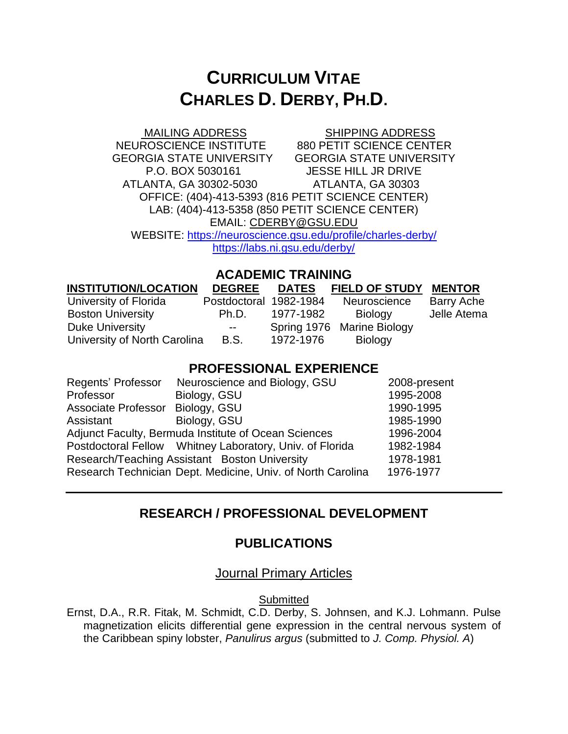# **CURRICULUM VITAE CHARLES D. DERBY, PH.D.**

**MAILING ADDRESS SHIPPING ADDRESS** NEUROSCIENCE INSTITUTE 880 PETIT SCIENCE CENTER GEORGIA STATE UNIVERSITY GEORGIA STATE UNIVERSITY P.O. BOX 5030161 JESSE HILL JR DRIVE ATLANTA, GA 30302-5030 ATLANTA, GA 30303 OFFICE: (404)-413-5393 (816 PETIT SCIENCE CENTER) LAB: (404)-413-5358 (850 PETIT SCIENCE CENTER) EMAIL: [CDERBY@GSU.EDU](mailto:CDERBY@GSU.EDU) WEBSITE: <https://neuroscience.gsu.edu/profile/charles-derby/> <https://labs.ni.gsu.edu/derby/>

#### **ACADEMIC TRAINING**

| <b>INSTITUTION/LOCATION</b>  | <b>DEGREE</b>          | <b>DATES</b> | <b>FIELD OF STUDY</b>      | <b>MENTOR</b> |
|------------------------------|------------------------|--------------|----------------------------|---------------|
| University of Florida        | Postdoctoral 1982-1984 |              | Neuroscience               | Barry Ache    |
| <b>Boston University</b>     | Ph.D.                  | 1977-1982    | Biology                    | Jelle Atema   |
| <b>Duke University</b>       | $\sim$ $\sim$          |              | Spring 1976 Marine Biology |               |
| University of North Carolina | <b>B.S.</b>            | 1972-1976    | <b>Biology</b>             |               |

#### **PROFESSIONAL EXPERIENCE**

| Regents' Professor                                   | Neuroscience and Biology, GSU                               | 2008-present |
|------------------------------------------------------|-------------------------------------------------------------|--------------|
| Professor                                            | Biology, GSU                                                | 1995-2008    |
| Associate Professor Biology, GSU                     |                                                             | 1990-1995    |
| Assistant                                            | Biology, GSU                                                | 1985-1990    |
| Adjunct Faculty, Bermuda Institute of Ocean Sciences | 1996-2004                                                   |              |
|                                                      | Postdoctoral Fellow Whitney Laboratory, Univ. of Florida    | 1982-1984    |
| Research/Teaching Assistant Boston University        | 1978-1981                                                   |              |
|                                                      | Research Technician Dept. Medicine, Univ. of North Carolina | 1976-1977    |
|                                                      |                                                             |              |

# **RESEARCH / PROFESSIONAL DEVELOPMENT**

#### **PUBLICATIONS**

#### Journal Primary Articles

**Submitted** 

Ernst, D.A., R.R. Fitak, M. Schmidt, C.D. Derby, S. Johnsen, and K.J. Lohmann. Pulse magnetization elicits differential gene expression in the central nervous system of the Caribbean spiny lobster, *Panulirus argus* (submitted to *J. Comp. Physiol. A*)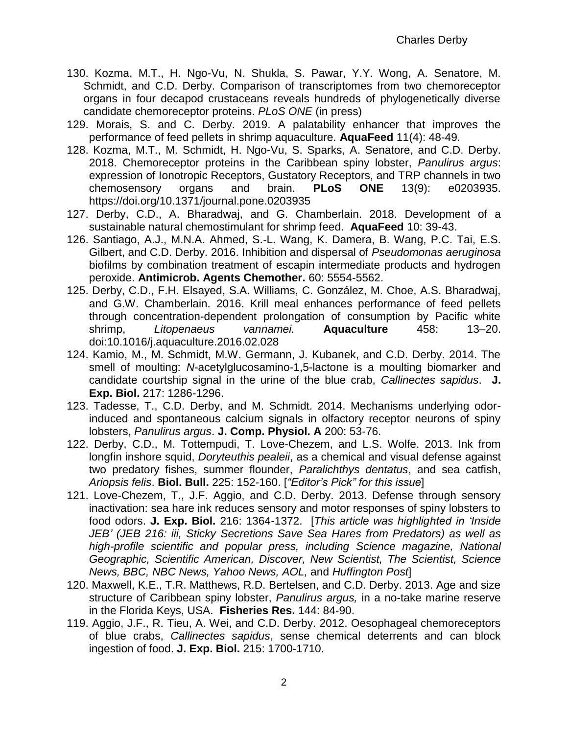- 130. Kozma, M.T., H. Ngo-Vu, N. Shukla, S. Pawar, Y.Y. Wong, A. Senatore, M. Schmidt, and C.D. Derby. Comparison of transcriptomes from two chemoreceptor organs in four decapod crustaceans reveals hundreds of phylogenetically diverse candidate chemoreceptor proteins. *PLoS ONE* (in press)
- 129. Morais, S. and C. Derby. 2019. A palatability enhancer that improves the performance of feed pellets in shrimp aquaculture. **AquaFeed** 11(4): 48-49.
- 128. Kozma, M.T., M. Schmidt, H. Ngo-Vu, S. Sparks, A. Senatore, and C.D. Derby. 2018. Chemoreceptor proteins in the Caribbean spiny lobster, *Panulirus argus*: expression of Ionotropic Receptors, Gustatory Receptors, and TRP channels in two chemosensory organs and brain. **PLoS ONE** 13(9): e0203935. https://doi.org/10.1371/journal.pone.0203935
- 127. Derby, C.D., A. Bharadwaj, and G. Chamberlain. 2018. Development of a sustainable natural chemostimulant for shrimp feed. **AquaFeed** 10: 39-43.
- 126. Santiago, A.J., M.N.A. Ahmed, S.-L. Wang, K. Damera, B. Wang, P.C. Tai, E.S. Gilbert, and C.D. Derby. 2016. Inhibition and dispersal of *Pseudomonas aeruginosa* biofilms by combination treatment of escapin intermediate products and hydrogen peroxide. **Antimicrob. Agents Chemother.** 60: 5554-5562.
- 125. Derby, C.D., F.H. Elsayed, S.A. Williams, C. González, M. Choe, A.S. Bharadwaj, and G.W. Chamberlain. 2016. Krill meal enhances performance of feed pellets through concentration-dependent prolongation of consumption by Pacific white shrimp, *Litopenaeus vannamei.* **Aquaculture** 458: 13–20. [doi:10.1016/j.aquaculture.2016.02.028](http://dx.doi.org.ezproxy.gsu.edu/10.1016/j.aquaculture.2016.02.028)
- 124. Kamio, M., M. Schmidt, M.W. Germann, J. Kubanek, and C.D. Derby. 2014. The smell of moulting: *N*-acetylglucosamino-1,5-lactone is a moulting biomarker and candidate courtship signal in the urine of the blue crab, *Callinectes sapidus*. **J. Exp. Biol.** 217: 1286-1296.
- 123. Tadesse, T., C.D. Derby, and M. Schmidt. 2014. Mechanisms underlying odorinduced and spontaneous calcium signals in olfactory receptor neurons of spiny lobsters, *Panulirus argus*. **J. Comp. Physiol. A** 200: 53-76.
- 122. Derby, C.D., M. Tottempudi, T. Love-Chezem, and L.S. Wolfe. 2013. Ink from longfin inshore squid, *Doryteuthis pealeii*, as a chemical and visual defense against two predatory fishes, summer flounder, *Paralichthys dentatus*, and sea catfish, *Ariopsis felis*. **Biol. Bull.** 225: 152-160. [*"Editor's Pick" for this issue*]
- 121. Love-Chezem, T., J.F. Aggio, and C.D. Derby. 2013. Defense through sensory inactivation: sea hare ink reduces sensory and motor responses of spiny lobsters to food odors. **J. Exp. Biol.** 216: 1364-1372. [*This article was highlighted in 'Inside JEB' (JEB 216: iii, Sticky Secretions Save Sea Hares from Predators) as well as high-profile scientific and popular press, including Science magazine, National Geographic, Scientific American, Discover, New Scientist, The Scientist, Science News, BBC, NBC News, Yahoo News, AOL,* and *Huffington Post*]
- 120. Maxwell, K.E., T.R. Matthews, R.D. Bertelsen, and C.D. Derby. 2013. Age and size structure of Caribbean spiny lobster, *Panulirus argus,* in a no-take marine reserve in the Florida Keys, USA. **Fisheries Res.** 144: 84-90.
- 119. Aggio, J.F., R. Tieu, A. Wei, and C.D. Derby. 2012. Oesophageal chemoreceptors of blue crabs, *Callinectes sapidus*, sense chemical deterrents and can block ingestion of food. **J. Exp. Biol.** 215: 1700-1710.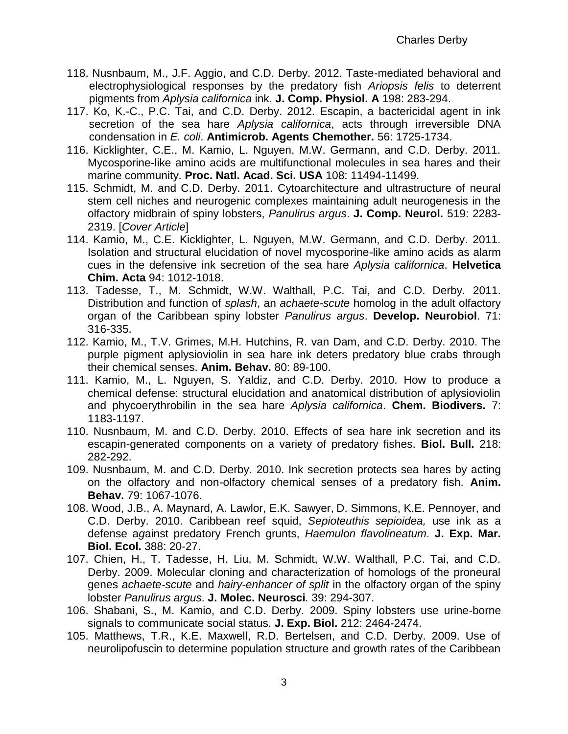- 118. Nusnbaum, M., J.F. Aggio, and C.D. Derby. 2012. Taste-mediated behavioral and electrophysiological responses by the predatory fish *Ariopsis felis* to deterrent pigments from *Aplysia californica* ink. **J. Comp. Physiol. A** 198: 283-294.
- 117. Ko, K.-C., P.C. Tai, and C.D. Derby. 2012. Escapin, a bactericidal agent in ink secretion of the sea hare *Aplysia californica*, acts through irreversible DNA condensation in *E. coli*. **Antimicrob. Agents Chemother.** 56: 1725-1734.
- 116. Kicklighter, C.E., M. Kamio, L. Nguyen, M.W. Germann, and C.D. Derby. 2011. Mycosporine-like amino acids are multifunctional molecules in sea hares and their marine community. **Proc. Natl. Acad. Sci. USA** 108: 11494-11499.
- 115. Schmidt, M. and C.D. Derby. 2011. [Cytoarchitecture and ultrastructure of neural](http://www.ncbi.nlm.nih.gov/pubmed/21523781)  [stem cell niches and neurogenic complexes maintaining adult neurogenesis in the](http://www.ncbi.nlm.nih.gov/pubmed/21523781)  [olfactory midbrain of spiny lobsters,](http://www.ncbi.nlm.nih.gov/pubmed/21523781) *Panulirus argus*. **J. Comp. Neurol.** 519: 2283- 2319. [*Cover Article*]
- 114. Kamio, M., C.E. Kicklighter, L. Nguyen, M.W. Germann, and C.D. Derby. 2011. Isolation and structural elucidation of novel mycosporine-like amino acids as alarm cues in the defensive ink secretion of the sea hare *Aplysia californica*. **Helvetica Chim. Acta** 94: 1012-1018.
- 113. Tadesse, T., M. Schmidt, W.W. Walthall, P.C. Tai, and C.D. Derby. 2011. Distribution and function of *splash*, an *achaete-scute* homolog in the adult olfactory organ of the Caribbean spiny lobster *Panulirus argus*. **Develop. Neurobiol**. 71: 316-335.
- 112. Kamio, M., T.V. Grimes, M.H. Hutchins, R. van Dam, and C.D. Derby. 2010. The purple pigment aplysioviolin in sea hare ink deters predatory blue crabs through their chemical senses. **Anim. Behav.** 80: 89-100.
- 111. Kamio, M., L. Nguyen, S. Yaldiz, and C.D. Derby. 2010. How to produce a chemical defense: structural elucidation and anatomical distribution of aplysioviolin and phycoerythrobilin in the sea hare *Aplysia californica*. **Chem. Biodivers.** 7: 1183-1197.
- 110. Nusnbaum, M. and C.D. Derby. 2010. Effects of sea hare ink secretion and its escapin-generated components on a variety of predatory fishes. **Biol. Bull.** 218: 282-292.
- 109. Nusnbaum, M. and C.D. Derby. 2010. Ink secretion protects sea hares by acting on the olfactory and non-olfactory chemical senses of a predatory fish. **Anim. Behav.** 79: 1067-1076.
- 108. Wood, J.B., A. Maynard, A. Lawlor, E.K. Sawyer, D. Simmons, K.E. Pennoyer, and C.D. Derby. 2010. Caribbean reef squid, *Sepioteuthis sepioidea,* use ink as a defense a*g*ainst predatory French grunts, *Haemulon flavolineatum*. **J. Exp. Mar. Biol. Ecol.** 388: 20-27.
- 107. Chien, H., T. Tadesse, H. Liu, M. Schmidt, W.W. Walthall, P.C. Tai, and C.D. Derby. 2009. Molecular cloning and characterization of homologs of the proneural genes *achaete-scute* and *hairy-enhancer of split* in the olfactory organ of the spiny lobster *Panulirus argus*. **J. Molec. Neurosci***.* 39: 294-307.
- 106. Shabani, S., M. Kamio, and C.D. Derby. 2009. Spiny lobsters use urine-borne signals to communicate social status. **J. Exp. Biol.** 212: 2464-2474.
- 105. Matthews, T.R., K.E. Maxwell, R.D. Bertelsen, and C.D. Derby. 2009. Use of neurolipofuscin to determine population structure and growth rates of the Caribbean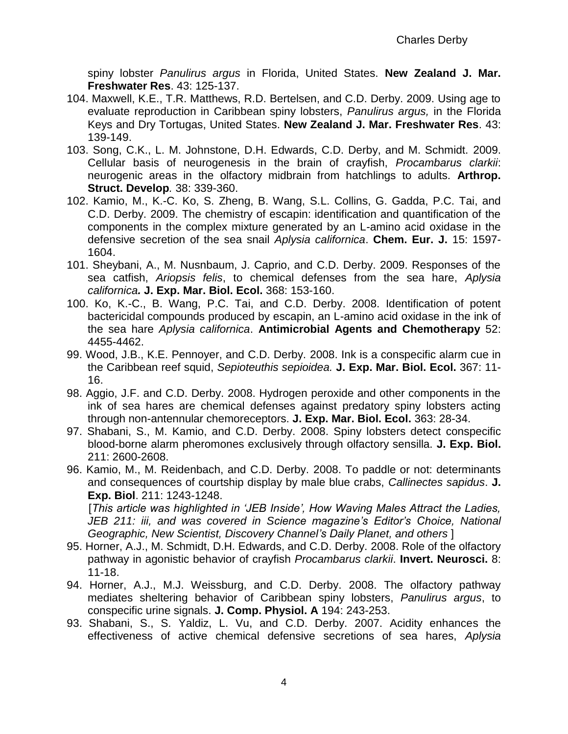spiny lobster *Panulirus argus* in Florida, United States. **New Zealand J. Mar. Freshwater Res**. 43: 125-137.

- 104. Maxwell, K.E., T.R. Matthews, R.D. Bertelsen, and C.D. Derby. 2009. Using age to evaluate reproduction in Caribbean spiny lobsters, *Panulirus argus,* in the Florida Keys and Dry Tortugas, United States. **New Zealand J. Mar. Freshwater Res**. 43: 139-149.
- 103. Song, C.K., L. M. Johnstone, D.H. Edwards, C.D. Derby, and M. Schmidt. 2009. Cellular basis of neurogenesis in the brain of crayfish, *Procambarus clarkii*: neurogenic areas in the olfactory midbrain from hatchlings to adults. **Arthrop. Struct. Develop***.* 38: 339-360.
- 102. Kamio, M., K.-C. Ko, S. Zheng, B. Wang, S.L. Collins, G. Gadda, P.C. Tai, and C.D. Derby. 2009. The chemistry of escapin: identification and quantification of the components in the complex mixture generated by an L-amino acid oxidase in the defensive secretion of the sea snail *Aplysia californica*. **Chem. Eur. J.** 15: 1597- 1604.
- 101. Sheybani, A., M. Nusnbaum, J. Caprio, and C.D. Derby. 2009. Responses of the sea catfish, *Ariopsis felis*, to chemical defenses from the sea hare, *Aplysia californica.* **J. Exp. Mar. Biol. Ecol.** 368: 153-160.
- 100. Ko, K.-C., B. Wang, P.C. Tai, and C.D. Derby. 2008. Identification of potent bactericidal compounds produced by escapin, an L-amino acid oxidase in the ink of the sea hare *Aplysia californica*. **Antimicrobial Agents and Chemotherapy** 52: 4455-4462.
- 99. Wood, J.B., K.E. Pennoyer, and C.D. Derby. 2008. Ink is a conspecific alarm cue in the Caribbean reef squid, *Sepioteuthis sepioidea.* **J. Exp. Mar. Biol. Ecol.** 367: 11- 16.
- 98. Aggio, J.F. and C.D. Derby. 2008. Hydrogen peroxide and other components in the ink of sea hares are chemical defenses against predatory spiny lobsters acting through non-antennular chemoreceptors. **J. Exp. Mar. Biol. Ecol.** 363: 28-34.
- 97. Shabani, S., M. Kamio, and C.D. Derby. 2008. Spiny lobsters detect conspecific blood-borne alarm pheromones exclusively through olfactory sensilla. **J. Exp. Biol.**  211: 2600-2608.
- 96. Kamio, M., M. Reidenbach, and C.D. Derby. 2008. To paddle or not: determinants and consequences of courtship display by male blue crabs, *Callinectes sapidus*. **J. Exp. Biol**. 211: 1243-1248.

[*This article was highlighted in 'JEB Inside', How Waving Males Attract the Ladies, JEB 211: iii, and was covered in Science magazine's Editor's Choice, National Geographic, New Scientist, Discovery Channel's Daily Planet, and others* ]

- 95. Horner, A.J., M. Schmidt, D.H. Edwards, and C.D. Derby. 2008. Role of the olfactory pathway in agonistic behavior of crayfish *Procambarus clarkii*. **Invert. Neurosci.** 8: 11-18.
- 94. Horner, A.J., M.J. Weissburg, and C.D. Derby. 2008. The olfactory pathway mediates sheltering behavior of Caribbean spiny lobsters, *Panulirus argus*, to conspecific urine signals. **J. Comp. Physiol. A** 194: 243-253.
- 93. Shabani, S., S. Yaldiz, L. Vu, and C.D. Derby. 2007. Acidity enhances the effectiveness of active chemical defensive secretions of sea hares, *Aplysia*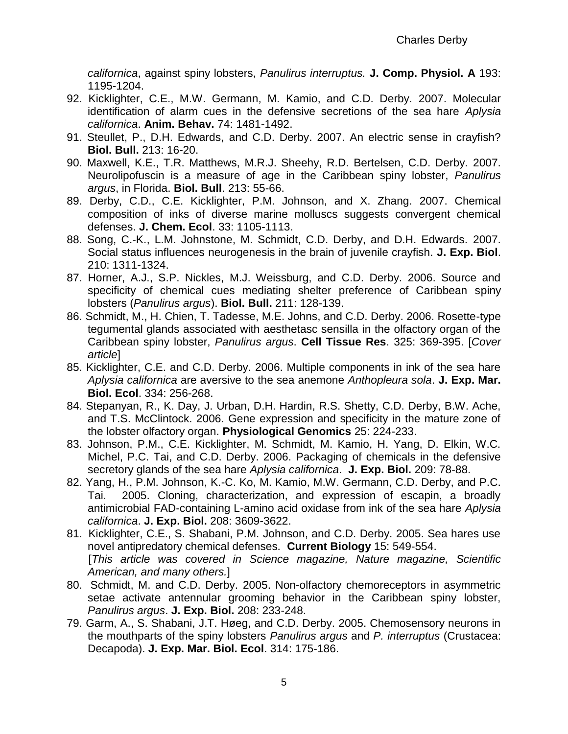*californica*, against spiny lobsters, *Panulirus interruptus.* **J. Comp. Physiol. A** 193: 1195-1204.

- 92. Kicklighter, C.E., M.W. Germann, M. Kamio, and C.D. Derby. 2007. Molecular identification of alarm cues in the defensive secretions of the sea hare *Aplysia californica*. **Anim. Behav.** 74: 1481-1492.
- 91. Steullet, P., D.H. Edwards, and C.D. Derby. 2007. An electric sense in crayfish? **Biol. Bull.** 213: 16-20.
- 90. Maxwell, K.E., T.R. Matthews, M.R.J. Sheehy, R.D. Bertelsen, C.D. Derby. 2007. Neurolipofuscin is a measure of age in the Caribbean spiny lobster, *Panulirus argus*, in Florida. **Biol. Bull**. 213: 55-66.
- 89. Derby, C.D., C.E. Kicklighter, P.M. Johnson, and X. Zhang. 2007. Chemical composition of inks of diverse marine molluscs suggests convergent chemical defenses. **J. Chem. Ecol**. 33: 1105-1113.
- 88. Song, C.-K., L.M. Johnstone, M. Schmidt, C.D. Derby, and D.H. Edwards. 2007. Social status influences neurogenesis in the brain of juvenile crayfish. **J. Exp. Biol**. 210: 1311-1324.
- 87. Horner, A.J., S.P. Nickles, M.J. Weissburg, and C.D. Derby. 2006. Source and specificity of chemical cues mediating shelter preference of Caribbean spiny lobsters (*Panulirus argus*). **Biol. Bull.** 211: 128-139.
- 86. Schmidt, M., H. Chien, T. Tadesse, M.E. Johns, and C.D. Derby. 2006. Rosette-type tegumental glands associated with aesthetasc sensilla in the olfactory organ of the Caribbean spiny lobster, *Panulirus argus*. **Cell Tissue Res**. 325: 369-395. [*Cover article*]
- 85. Kicklighter, C.E. and C.D. Derby. 2006. Multiple components in ink of the sea hare *Aplysia californica* are aversive to the sea anemone *Anthopleura sola*. **J. Exp. Mar. Biol. Ecol**. 334: 256-268.
- 84. Stepanyan, R., K. Day, J. Urban, D.H. Hardin, R.S. Shetty, C.D. Derby, B.W. Ache, and T.S. McClintock. 2006. Gene expression and specificity in the mature zone of the lobster olfactory organ. **Physiological Genomics** 25: 224-233.
- 83. Johnson, P.M., C.E. Kicklighter, M. Schmidt, M. Kamio, H. Yang, D. Elkin, W.C. Michel, P.C. Tai, and C.D. Derby. 2006. Packaging of chemicals in the defensive secretory glands of the sea hare *Aplysia californica*. **J. Exp. Biol.** 209: 78-88.
- 82. Yang, H., P.M. Johnson, K.-C. Ko, M. Kamio, M.W. Germann, C.D. Derby, and P.C. Tai. 2005. Cloning, characterization, and expression of escapin, a broadly antimicrobial FAD-containing L-amino acid oxidase from ink of the sea hare *Aplysia californica*. **J. Exp. Biol.** 208: 3609-3622.
- 81. Kicklighter, C.E., S. Shabani, P.M. Johnson, and C.D. Derby. 2005. Sea hares use novel antipredatory chemical defenses. **Current Biology** 15: 549-554. [*This article was covered in Science magazine, Nature magazine, Scientific American, and many others.*]
- 80. Schmidt, M. and C.D. Derby. 2005. Non-olfactory chemoreceptors in asymmetric setae activate antennular grooming behavior in the Caribbean spiny lobster, *Panulirus argus*. **J. Exp. Biol.** 208: 233-248.
- 79. Garm, A., S. Shabani, J.T. Høeg, and C.D. Derby. 2005. Chemosensory neurons in the mouthparts of the spiny lobsters *Panulirus argus* and *P. interruptus* (Crustacea: Decapoda). **J. Exp. Mar. Biol. Ecol**. 314: 175-186.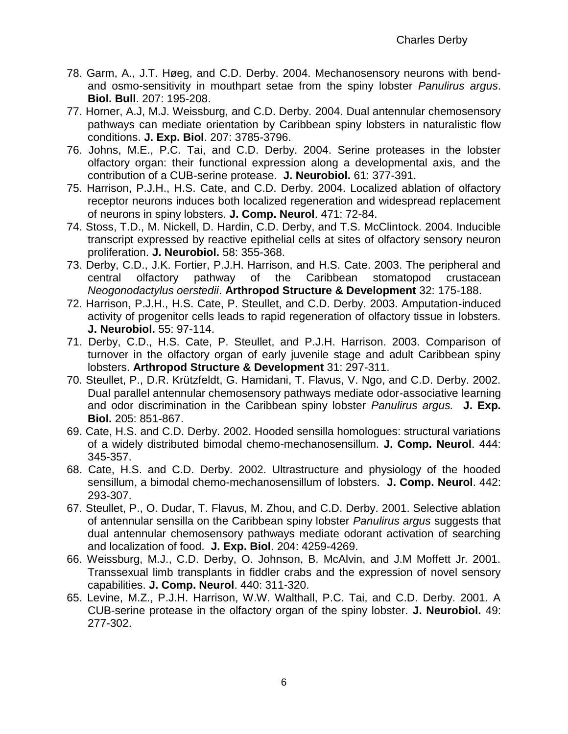- 78. Garm, A., J.T. Høeg, and C.D. Derby. 2004. Mechanosensory neurons with bendand osmo-sensitivity in mouthpart setae from the spiny lobster *Panulirus argus*. **Biol. Bull**. 207: 195-208.
- 77. Horner, A.J, M.J. Weissburg, and C.D. Derby. 2004. Dual antennular chemosensory pathways can mediate orientation by Caribbean spiny lobsters in naturalistic flow conditions. **J. Exp. Biol**. 207: 3785-3796.
- 76. Johns, M.E., P.C. Tai, and C.D. Derby. 2004. Serine proteases in the lobster olfactory organ: their functional expression along a developmental axis, and the contribution of a CUB-serine protease. **J. Neurobiol.** 61: 377-391.
- 75. Harrison, P.J.H., H.S. Cate, and C.D. Derby. 2004. Localized ablation of olfactory receptor neurons induces both localized regeneration and widespread replacement of neurons in spiny lobsters. **J. Comp. Neurol**. 471: 72-84.
- 74. Stoss, T.D., M. Nickell, D. Hardin, C.D. Derby, and T.S. McClintock. 2004. Inducible transcript expressed by reactive epithelial cells at sites of olfactory sensory neuron proliferation. **J. Neurobiol.** 58: 355-368.
- 73. Derby, C.D., J.K. Fortier, P.J.H. Harrison, and H.S. Cate. 2003. The peripheral and central olfactory pathway of the Caribbean stomatopod crustacean *Neogonodactylus oerstedii*. **Arthropod Structure & Development** 32: 175-188.
- 72. Harrison, P.J.H., H.S. Cate, P. Steullet, and C.D. Derby. 2003. Amputation-induced activity of progenitor cells leads to rapid regeneration of olfactory tissue in lobsters. **J. Neurobiol.** 55: 97-114.
- 71. Derby, C.D., H.S. Cate, P. Steullet, and P.J.H. Harrison. 2003. Comparison of turnover in the olfactory organ of early juvenile stage and adult Caribbean spiny lobsters. **Arthropod Structure & Development** 31: 297-311.
- 70. Steullet, P., D.R. Krützfeldt, G. Hamidani, T. Flavus, V. Ngo, and C.D. Derby. 2002. Dual parallel antennular chemosensory pathways mediate odor-associative learning and odor discrimination in the Caribbean spiny lobster *Panulirus argus.* **J. Exp. Biol.** 205: 851-867.
- 69. Cate, H.S. and C.D. Derby. 2002. Hooded sensilla homologues: structural variations of a widely distributed bimodal chemo-mechanosensillum. **J. Comp. Neurol**. 444: 345-357.
- 68. Cate, H.S. and C.D. Derby. 2002. Ultrastructure and physiology of the hooded sensillum, a bimodal chemo-mechanosensillum of lobsters. **J. Comp. Neurol**. 442: 293-307.
- 67. Steullet, P., O. Dudar, T. Flavus, M. Zhou, and C.D. Derby. 2001. Selective ablation of antennular sensilla on the Caribbean spiny lobster *Panulirus argus* suggests that dual antennular chemosensory pathways mediate odorant activation of searching and localization of food. **J. Exp. Biol**. 204: 4259-4269.
- 66. Weissburg, M.J., C.D. Derby, O. Johnson, B. McAlvin, and J.M Moffett Jr. 2001. Transsexual limb transplants in fiddler crabs and the expression of novel sensory capabilities. **J. Comp. Neurol**. 440: 311-320.
- 65. Levine, M.Z., P.J.H. Harrison, W.W. Walthall, P.C. Tai, and C.D. Derby. 2001. A CUB-serine protease in the olfactory organ of the spiny lobster. **J. Neurobiol.** 49: 277-302.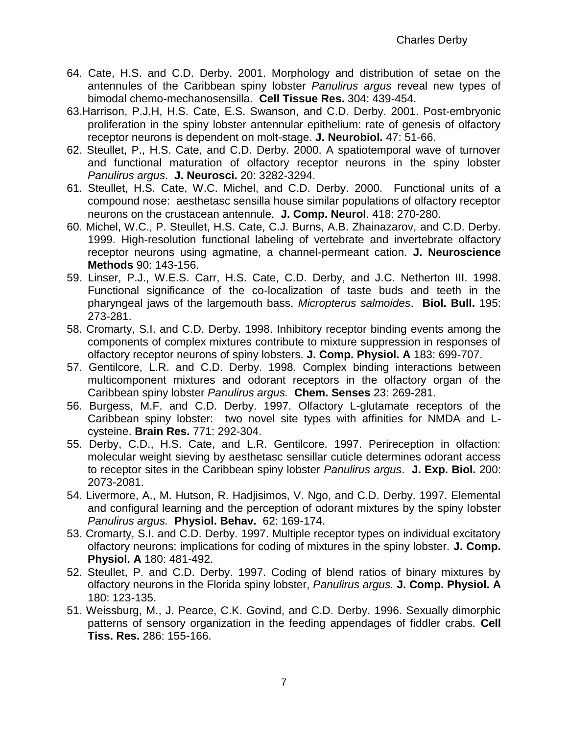- 64. Cate, H.S. and C.D. Derby. 2001. Morphology and distribution of setae on the antennules of the Caribbean spiny lobster *Panulirus argus* reveal new types of bimodal chemo-mechanosensilla. **Cell Tissue Res.** 304: 439-454.
- 63.Harrison, P.J.H, H.S. Cate, E.S. Swanson, and C.D. Derby. 2001. Post-embryonic proliferation in the spiny lobster antennular epithelium: rate of genesis of olfactory receptor neurons is dependent on molt-stage. **J. Neurobiol.** 47: 51-66.
- 62. Steullet, P., H.S. Cate, and C.D. Derby. 2000. A spatiotemporal wave of turnover and functional maturation of olfactory receptor neurons in the spiny lobster *Panulirus argus*. **J. Neurosci.** 20: 3282-3294.
- 61. Steullet, H.S. Cate, W.C. Michel, and C.D. Derby. 2000. Functional units of a compound nose: aesthetasc sensilla house similar populations of olfactory receptor neurons on the crustacean antennule. **J. Comp. Neurol**. 418: 270-280.
- 60. Michel, W.C., P. Steullet, H.S. Cate, C.J. Burns, A.B. Zhainazarov, and C.D. Derby. 1999. High-resolution functional labeling of vertebrate and invertebrate olfactory receptor neurons using agmatine, a channel-permeant cation. **J. Neuroscience Methods** 90: 143-156.
- 59. Linser, P.J., W.E.S. Carr, H.S. Cate, C.D. Derby, and J.C. Netherton III. 1998. Functional significance of the co-localization of taste buds and teeth in the pharyngeal jaws of the largemouth bass, *Micropterus salmoides*. **Biol. Bull.** 195: 273-281.
- 58. Cromarty, S.I. and C.D. Derby. 1998. Inhibitory receptor binding events among the components of complex mixtures contribute to mixture suppression in responses of olfactory receptor neurons of spiny lobsters. **J. Comp. Physiol. A** 183: 699-707.
- 57. Gentilcore, L.R. and C.D. Derby. 1998. Complex binding interactions between multicomponent mixtures and odorant receptors in the olfactory organ of the Caribbean spiny lobster *Panulirus argus.* **Chem. Senses** 23: 269-281.
- 56. Burgess, M.F. and C.D. Derby. 1997. Olfactory L-glutamate receptors of the Caribbean spiny lobster: two novel site types with affinities for NMDA and Lcysteine. **Brain Res.** 771: 292-304.
- 55. Derby, C.D., H.S. Cate, and L.R. Gentilcore. 1997. Perireception in olfaction: molecular weight sieving by aesthetasc sensillar cuticle determines odorant access to receptor sites in the Caribbean spiny lobster *Panulirus argus*. **J. Exp. Biol.** 200: 2073-2081.
- 54. Livermore, A., M. Hutson, R. Hadjisimos, V. Ngo, and C.D. Derby. 1997. Elemental and configural learning and the perception of odorant mixtures by the spiny lobster *Panulirus argus.* **Physiol. Behav.** 62: 169-174.
- 53. Cromarty, S.I. and C.D. Derby. 1997. Multiple receptor types on individual excitatory olfactory neurons: implications for coding of mixtures in the spiny lobster. **J. Comp. Physiol. A** 180: 481-492.
- 52. Steullet, P. and C.D. Derby. 1997. Coding of blend ratios of binary mixtures by olfactory neurons in the Florida spiny lobster, *Panulirus argus.* **J. Comp. Physiol. A** 180: 123-135.
- 51. Weissburg, M., J. Pearce, C.K. Govind, and C.D. Derby. 1996. Sexually dimorphic patterns of sensory organization in the feeding appendages of fiddler crabs. **Cell Tiss. Res.** 286: 155-166.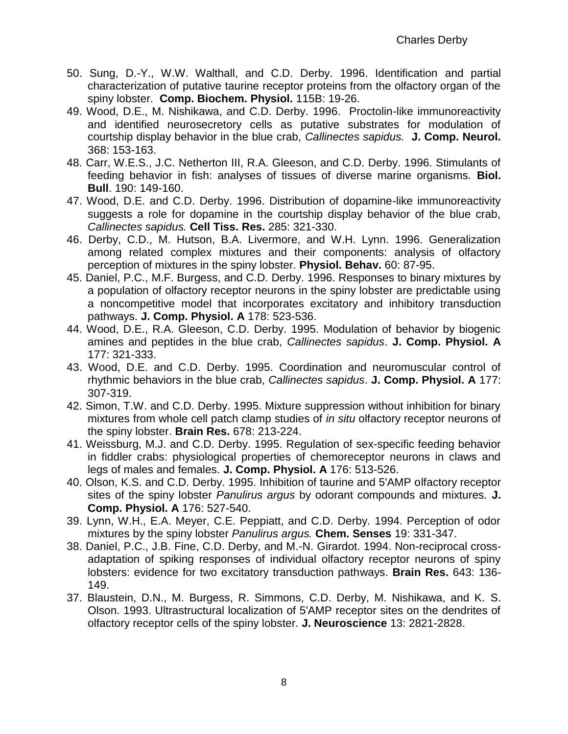- 50. Sung, D.-Y., W.W. Walthall, and C.D. Derby. 1996. Identification and partial characterization of putative taurine receptor proteins from the olfactory organ of the spiny lobster. **Comp. Biochem. Physiol.** 115B: 19-26.
- 49. Wood, D.E., M. Nishikawa, and C.D. Derby. 1996. Proctolin-like immunoreactivity and identified neurosecretory cells as putative substrates for modulation of courtship display behavior in the blue crab, *Callinectes sapidus.* **J. Comp. Neurol.**  368: 153-163.
- 48. Carr, W.E.S., J.C. Netherton III, R.A. Gleeson, and C.D. Derby. 1996. Stimulants of feeding behavior in fish: analyses of tissues of diverse marine organisms. **Biol. Bull**. 190: 149-160.
- 47. Wood, D.E. and C.D. Derby. 1996. Distribution of dopamine-like immunoreactivity suggests a role for dopamine in the courtship display behavior of the blue crab, *Callinectes sapidus.* **Cell Tiss. Res.** 285: 321-330.
- 46. Derby, C.D., M. Hutson, B.A. Livermore, and W.H. Lynn. 1996. Generalization among related complex mixtures and their components: analysis of olfactory perception of mixtures in the spiny lobster. **Physiol. Behav.** 60: 87-95.
- 45. Daniel, P.C., M.F. Burgess, and C.D. Derby. 1996. Responses to binary mixtures by a population of olfactory receptor neurons in the spiny lobster are predictable using a noncompetitive model that incorporates excitatory and inhibitory transduction pathways. **J. Comp. Physiol. A** 178: 523-536.
- 44. Wood, D.E., R.A. Gleeson, C.D. Derby. 1995. Modulation of behavior by biogenic amines and peptides in the blue crab, *Callinectes sapidus*. **J. Comp. Physiol. A** 177: 321-333.
- 43. Wood, D.E. and C.D. Derby. 1995. Coordination and neuromuscular control of rhythmic behaviors in the blue crab, *Callinectes sapidus*. **J. Comp. Physiol. A** 177: 307-319.
- 42. Simon, T.W. and C.D. Derby. 1995. Mixture suppression without inhibition for binary mixtures from whole cell patch clamp studies of *in situ* olfactory receptor neurons of the spiny lobster. **Brain Res.** 678: 213-224.
- 41. Weissburg, M.J. and C.D. Derby. 1995. Regulation of sex-specific feeding behavior in fiddler crabs: physiological properties of chemoreceptor neurons in claws and legs of males and females. **J. Comp. Physiol. A** 176: 513-526.
- 40. Olson, K.S. and C.D. Derby. 1995. Inhibition of taurine and 5'AMP olfactory receptor sites of the spiny lobster *Panulirus argus* by odorant compounds and mixtures. **J. Comp. Physiol. A** 176: 527-540.
- 39. Lynn, W.H., E.A. Meyer, C.E. Peppiatt, and C.D. Derby. 1994. Perception of odor mixtures by the spiny lobster *Panulirus argus.* **Chem. Senses** 19: 331-347.
- 38. Daniel, P.C., J.B. Fine, C.D. Derby, and M.-N. Girardot. 1994. Non-reciprocal crossadaptation of spiking responses of individual olfactory receptor neurons of spiny lobsters: evidence for two excitatory transduction pathways. **Brain Res.** 643: 136- 149.
- 37. Blaustein, D.N., M. Burgess, R. Simmons, C.D. Derby, M. Nishikawa, and K. S. Olson. 1993. Ultrastructural localization of 5'AMP receptor sites on the dendrites of olfactory receptor cells of the spiny lobster. **J. Neuroscience** 13: 2821-2828.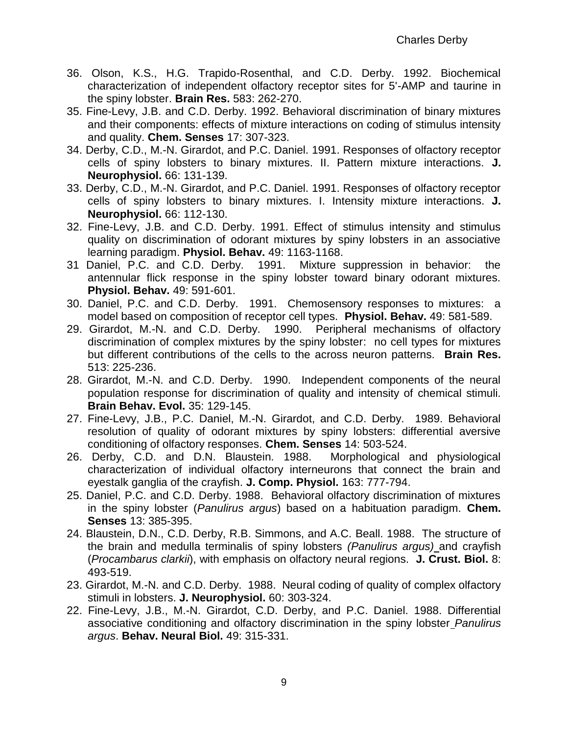- 36. Olson, K.S., H.G. Trapido-Rosenthal, and C.D. Derby. 1992. Biochemical characterization of independent olfactory receptor sites for 5'-AMP and taurine in the spiny lobster. **Brain Res.** 583: 262-270.
- 35. Fine-Levy, J.B. and C.D. Derby. 1992. Behavioral discrimination of binary mixtures and their components: effects of mixture interactions on coding of stimulus intensity and quality. **Chem. Senses** 17: 307-323.
- 34. Derby, C.D., M.-N. Girardot, and P.C. Daniel. 1991. Responses of olfactory receptor cells of spiny lobsters to binary mixtures. II. Pattern mixture interactions. **J. Neurophysiol.** 66: 131-139.
- 33. Derby, C.D., M.-N. Girardot, and P.C. Daniel. 1991. Responses of olfactory receptor cells of spiny lobsters to binary mixtures. I. Intensity mixture interactions. **J. Neurophysiol.** 66: 112-130.
- 32. Fine-Levy, J.B. and C.D. Derby. 1991. Effect of stimulus intensity and stimulus quality on discrimination of odorant mixtures by spiny lobsters in an associative learning paradigm. **Physiol. Behav.** 49: 1163-1168.
- 31 Daniel, P.C. and C.D. Derby. 1991. Mixture suppression in behavior: the antennular flick response in the spiny lobster toward binary odorant mixtures. **Physiol. Behav.** 49: 591-601.
- 30. Daniel, P.C. and C.D. Derby. 1991. Chemosensory responses to mixtures: a model based on composition of receptor cell types. **Physiol. Behav.** 49: 581-589.
- 29. Girardot, M.-N. and C.D. Derby. 1990. Peripheral mechanisms of olfactory discrimination of complex mixtures by the spiny lobster: no cell types for mixtures but different contributions of the cells to the across neuron patterns. **Brain Res.** 513: 225-236.
- 28. Girardot, M.-N. and C.D. Derby. 1990. Independent components of the neural population response for discrimination of quality and intensity of chemical stimuli. **Brain Behav. Evol.** 35: 129-145.
- 27. Fine-Levy, J.B., P.C. Daniel, M.-N. Girardot, and C.D. Derby. 1989. Behavioral resolution of quality of odorant mixtures by spiny lobsters: differential aversive conditioning of olfactory responses. **Chem. Senses** 14: 503-524.
- 26. Derby, C.D. and D.N. Blaustein. 1988. Morphological and physiological characterization of individual olfactory interneurons that connect the brain and eyestalk ganglia of the crayfish. **J. Comp. Physiol.** 163: 777-794.
- 25. Daniel, P.C. and C.D. Derby. 1988. Behavioral olfactory discrimination of mixtures in the spiny lobster (*Panulirus argus*) based on a habituation paradigm. **Chem. Senses** 13: 385-395.
- 24. Blaustein, D.N., C.D. Derby, R.B. Simmons, and A.C. Beall. 1988. The structure of the brain and medulla terminalis of spiny lobsters *(Panulirus argus)* and crayfish (*Procambarus clarkii*), with emphasis on olfactory neural regions. **J. Crust. Biol.** 8: 493-519.
- 23. Girardot, M.-N. and C.D. Derby. 1988. Neural coding of quality of complex olfactory stimuli in lobsters. **J. Neurophysiol.** 60: 303-324.
- 22. Fine-Levy, J.B., M.-N. Girardot, C.D. Derby, and P.C. Daniel. 1988. Differential associative conditioning and olfactory discrimination in the spiny lobster *Panulirus argus*. **Behav. Neural Biol.** 49: 315-331.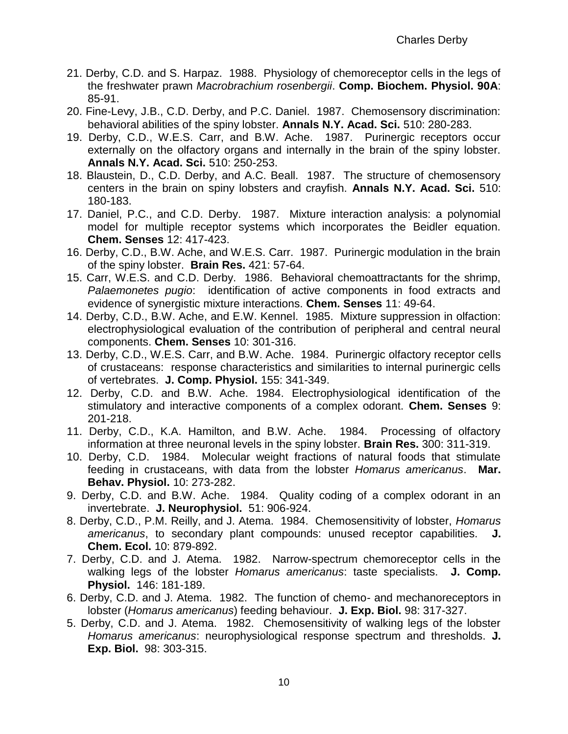- 21. Derby, C.D. and S. Harpaz. 1988. Physiology of chemoreceptor cells in the legs of the freshwater prawn *Macrobrachium rosenbergii*. **Comp. Biochem. Physiol. 90A**: 85-91.
- 20. Fine-Levy, J.B., C.D. Derby, and P.C. Daniel. 1987. Chemosensory discrimination: behavioral abilities of the spiny lobster. **Annals N.Y. Acad. Sci.** 510: 280-283.
- 19. Derby, C.D., W.E.S. Carr, and B.W. Ache. 1987. Purinergic receptors occur externally on the olfactory organs and internally in the brain of the spiny lobster. **Annals N.Y. Acad. Sci.** 510: 250-253.
- 18. Blaustein, D., C.D. Derby, and A.C. Beall. 1987. The structure of chemosensory centers in the brain on spiny lobsters and crayfish. **Annals N.Y. Acad. Sci.** 510: 180-183.
- 17. Daniel, P.C., and C.D. Derby. 1987. Mixture interaction analysis: a polynomial model for multiple receptor systems which incorporates the Beidler equation. **Chem. Senses** 12: 417-423.
- 16. Derby, C.D., B.W. Ache, and W.E.S. Carr. 1987. Purinergic modulation in the brain of the spiny lobster. **Brain Res.** 421: 57-64.
- 15. Carr, W.E.S. and C.D. Derby. 1986. Behavioral chemoattractants for the shrimp, *Palaemonetes pugio*: identification of active components in food extracts and evidence of synergistic mixture interactions. **Chem. Senses** 11: 49-64.
- 14. Derby, C.D., B.W. Ache, and E.W. Kennel. 1985. Mixture suppression in olfaction: electrophysiological evaluation of the contribution of peripheral and central neural components. **Chem. Senses** 10: 301-316.
- 13. Derby, C.D., W.E.S. Carr, and B.W. Ache. 1984. Purinergic olfactory receptor cells of crustaceans: response characteristics and similarities to internal purinergic cells of vertebrates. **J. Comp. Physiol.** 155: 341-349.
- 12. Derby, C.D. and B.W. Ache. 1984. Electrophysiological identification of the stimulatory and interactive components of a complex odorant. **Chem. Senses** 9: 201-218.
- 11. Derby, C.D., K.A. Hamilton, and B.W. Ache. 1984. Processing of olfactory information at three neuronal levels in the spiny lobster. **Brain Res.** 300: 311-319.
- 10. Derby, C.D. 1984. Molecular weight fractions of natural foods that stimulate feeding in crustaceans, with data from the lobster *Homarus americanus*. **Mar. Behav. Physiol.** 10: 273-282.
- 9. Derby, C.D. and B.W. Ache. 1984. Quality coding of a complex odorant in an invertebrate. **J. Neurophysiol.** 51: 906-924.
- 8. Derby, C.D., P.M. Reilly, and J. Atema. 1984. Chemosensitivity of lobster, *Homarus americanus*, to secondary plant compounds: unused receptor capabilities. **J. Chem. Ecol.** 10: 879-892.
- 7. Derby, C.D. and J. Atema. 1982. Narrow-spectrum chemoreceptor cells in the walking legs of the lobster *Homarus americanus*: taste specialists. **J. Comp. Physiol.** 146: 181-189.
- 6. Derby, C.D. and J. Atema. 1982. The function of chemo- and mechanoreceptors in lobster (*Homarus americanus*) feeding behaviour. **J. Exp. Biol.** 98: 317-327.
- 5. Derby, C.D. and J. Atema. 1982. Chemosensitivity of walking legs of the lobster *Homarus americanus*: neurophysiological response spectrum and thresholds. **J. Exp. Biol.** 98: 303-315.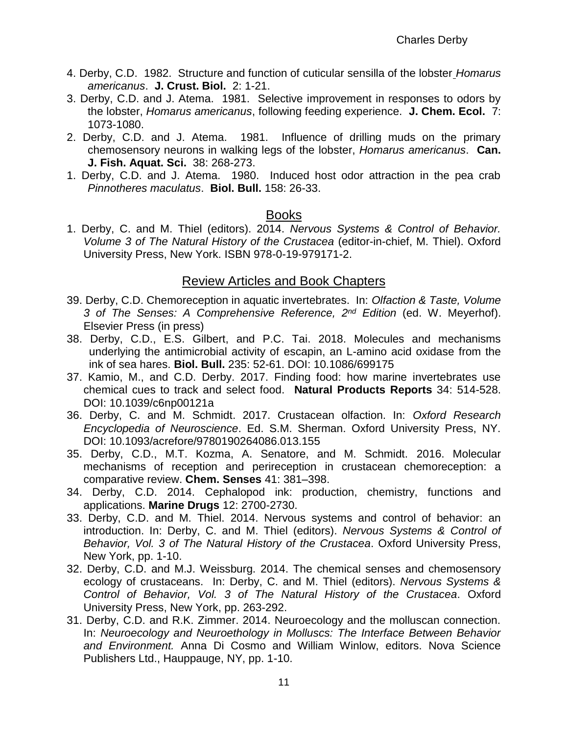- 4. Derby, C.D. 1982. Structure and function of cuticular sensilla of the lobster *Homarus americanus*. **J. Crust. Biol.** 2: 1-21.
- 3. Derby, C.D. and J. Atema. 1981. Selective improvement in responses to odors by the lobster, *Homarus americanus*, following feeding experience. **J. Chem. Ecol.** 7: 1073-1080.
- 2. Derby, C.D. and J. Atema. 1981. Influence of drilling muds on the primary chemosensory neurons in walking legs of the lobster, *Homarus americanus*. **Can. J. Fish. Aquat. Sci.** 38: 268-273.
- 1. Derby, C.D. and J. Atema. 1980. Induced host odor attraction in the pea crab *Pinnotheres maculatus*. **Biol. Bull.** 158: 26-33.

#### Books

1. Derby, C. and M. Thiel (editors). 2014. *Nervous Systems & Control of Behavior. Volume 3 of The Natural History of the Crustacea* (editor-in-chief, M. Thiel). Oxford University Press, New York. ISBN 978-0-19-979171-2.

#### Review Articles and Book Chapters

- 39. Derby, C.D. Chemoreception in aquatic invertebrates. In: *Olfaction & Taste, Volume 3 of The Senses: A Comprehensive Reference, 2nd Edition* (ed. W. Meyerhof). Elsevier Press (in press)
- 38. Derby, C.D., E.S. Gilbert, and P.C. Tai. 2018. Molecules and mechanisms underlying the antimicrobial activity of escapin, an L-amino acid oxidase from the ink of sea hares. **Biol. Bull.** 235: 52-61. DOI: 10.1086/699175
- 37. Kamio, M., and C.D. Derby. 2017. Finding food: how marine invertebrates use chemical cues to track and select food. **Natural Products Reports** 34: 514-528. DOI: 10.1039/c6np00121a
- 36. Derby, C. and M. Schmidt. 2017. Crustacean olfaction. In: *Oxford Research Encyclopedia of Neuroscience*. Ed. S.M. Sherman. Oxford University Press, NY. DOI: 10.1093/acrefore/9780190264086.013.155
- 35. Derby, C.D., M.T. Kozma, A. Senatore, and M. Schmidt. 2016. Molecular mechanisms of reception and perireception in crustacean chemoreception: a comparative review. **Chem. Senses** 41: 381–398.
- 34. Derby, C.D. 2014. Cephalopod ink: production, chemistry, functions and applications. **Marine Drugs** 12: 2700-2730.
- 33. Derby, C.D. and M. Thiel. 2014. Nervous systems and control of behavior: an introduction. In: Derby, C. and M. Thiel (editors). *Nervous Systems & Control of Behavior, Vol. 3 of The Natural History of the Crustacea*. Oxford University Press, New York, pp. 1-10.
- 32. Derby, C.D. and M.J. Weissburg. 2014. The chemical senses and chemosensory ecology of crustaceans. In: Derby, C. and M. Thiel (editors). *Nervous Systems & Control of Behavior, Vol. 3 of The Natural History of the Crustacea*. Oxford University Press, New York, pp. 263-292.
- 31. Derby, C.D. and R.K. Zimmer. 2014. Neuroecology and the molluscan connection. In: *Neuroecology and Neuroethology in Molluscs: The Interface Between Behavior and Environment.* Anna Di Cosmo and William Winlow, editors. Nova Science Publishers Ltd., Hauppauge, NY, pp. 1-10.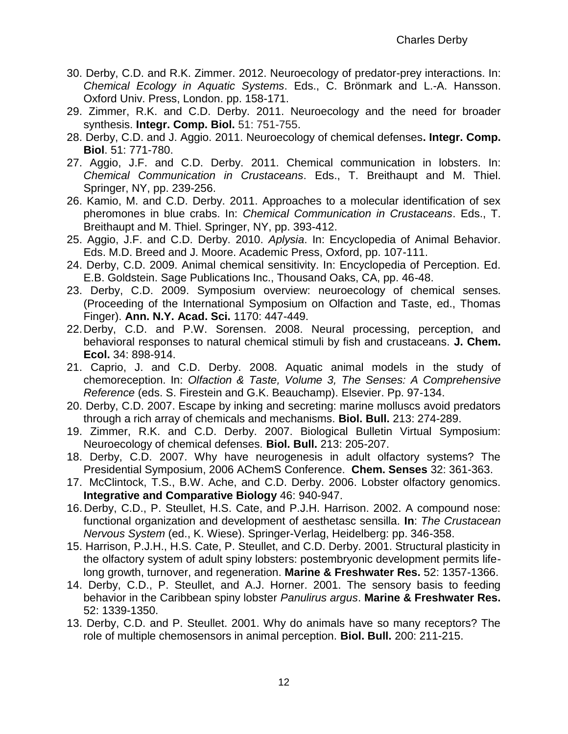- 30. Derby, C.D. and R.K. Zimmer. 2012. Neuroecology of predator-prey interactions. In: *Chemical Ecology in Aquatic Systems*. Eds., C. Brönmark and L.-A. Hansson. Oxford Univ. Press, London. pp. 158-171.
- 29. Zimmer, R.K. and C.D. Derby. 2011. Neuroecology and the need for broader synthesis. **Integr. Comp. Biol.** 51: 751-755.
- 28. Derby, C.D. and J. Aggio. 2011. Neuroecology of chemical defenses**. Integr. Comp. Biol**. 51: 771-780.
- 27. Aggio, J.F. and C.D. Derby. 2011. Chemical communication in lobsters. In: *Chemical Communication in Crustaceans*. Eds., T. Breithaupt and M. Thiel. Springer, NY, pp. 239-256.
- 26. Kamio, M. and C.D. Derby. 2011. Approaches to a molecular identification of sex pheromones in blue crabs. In: *Chemical Communication in Crustaceans*. Eds., T. Breithaupt and M. Thiel. Springer, NY, pp. 393-412.
- 25. Aggio, J.F. and C.D. Derby. 2010. *Aplysia*. In: Encyclopedia of Animal Behavior. Eds. M.D. Breed and J. Moore. Academic Press, Oxford, pp. 107-111.
- 24. Derby, C.D. 2009. Animal chemical sensitivity. In: Encyclopedia of Perception. Ed. E.B. Goldstein. Sage Publications Inc., Thousand Oaks, CA, pp. 46-48.
- 23. Derby, C.D. 2009. Symposium overview: neuroecology of chemical senses. (Proceeding of the International Symposium on Olfaction and Taste, ed., Thomas Finger). **Ann. N.Y. Acad. Sci.** 1170: 447-449.
- 22.Derby, C.D. and P.W. Sorensen. 2008. Neural processing, perception, and behavioral responses to natural chemical stimuli by fish and crustaceans. **J. Chem. Ecol.** 34: 898-914.
- 21. Caprio, J. and C.D. Derby. 2008. Aquatic animal models in the study of chemoreception. In: *Olfaction & Taste, Volume 3, The Senses: A Comprehensive Reference* (eds. S. Firestein and G.K. Beauchamp). Elsevier. Pp. 97-134.
- 20. Derby, C.D. 2007. Escape by inking and secreting: marine molluscs avoid predators through a rich array of chemicals and mechanisms. **Biol. Bull.** 213: 274-289.
- 19. Zimmer, R.K. and C.D. Derby. 2007. Biological Bulletin Virtual Symposium: Neuroecology of chemical defenses. **Biol. Bull.** 213: 205-207.
- 18. Derby, C.D. 2007. Why have neurogenesis in adult olfactory systems? The Presidential Symposium, 2006 AChemS Conference. **Chem. Senses** 32: 361-363.
- 17. McClintock, T.S., B.W. Ache, and C.D. Derby. 2006. Lobster olfactory genomics. **Integrative and Comparative Biology** 46: 940-947.
- 16. Derby, C.D., P. Steullet, H.S. Cate, and P.J.H. Harrison. 2002. A compound nose: functional organization and development of aesthetasc sensilla. **In**: *The Crustacean Nervous System* (ed., K. Wiese). Springer-Verlag, Heidelberg: pp. 346-358.
- 15. Harrison, P.J.H., H.S. Cate, P. Steullet, and C.D. Derby. 2001. Structural plasticity in the olfactory system of adult spiny lobsters: postembryonic development permits lifelong growth, turnover, and regeneration. **Marine & Freshwater Res.** 52: 1357-1366.
- 14. Derby, C.D., P. Steullet, and A.J. Horner. 2001. The sensory basis to feeding behavior in the Caribbean spiny lobster *Panulirus argus*. **Marine & Freshwater Res.** 52: 1339-1350.
- 13. Derby, C.D. and P. Steullet. 2001. Why do animals have so many receptors? The role of multiple chemosensors in animal perception. **Biol. Bull.** 200: 211-215.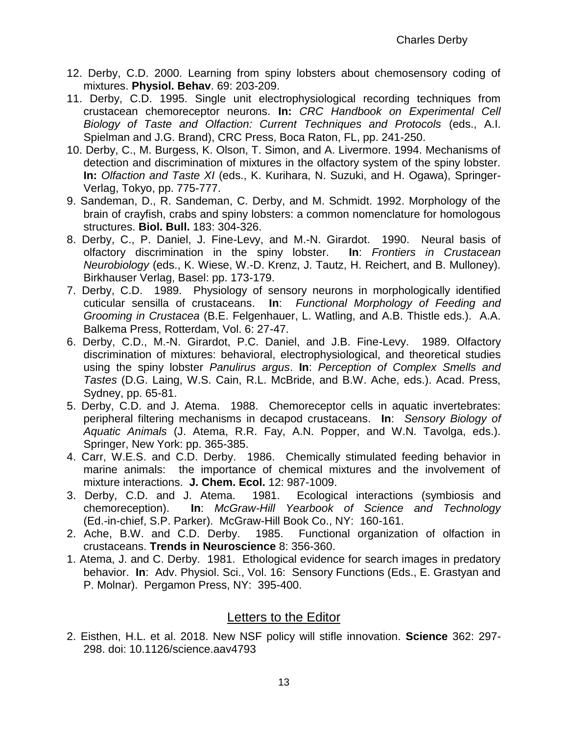- 12. Derby, C.D. 2000. Learning from spiny lobsters about chemosensory coding of mixtures. **Physiol. Behav**. 69: 203-209.
- 11. Derby, C.D. 1995. Single unit electrophysiological recording techniques from crustacean chemoreceptor neurons. **In:** *CRC Handbook on Experimental Cell Biology of Taste and Olfaction: Current Techniques and Protocols* (eds., A.I. Spielman and J.G. Brand), CRC Press, Boca Raton, FL, pp. 241-250.
- 10. Derby, C., M. Burgess, K. Olson, T. Simon, and A. Livermore. 1994. Mechanisms of detection and discrimination of mixtures in the olfactory system of the spiny lobster. **In:** *Olfaction and Taste XI* (eds., K. Kurihara, N. Suzuki, and H. Ogawa), Springer-Verlag, Tokyo, pp. 775-777.
- 9. Sandeman, D., R. Sandeman, C. Derby, and M. Schmidt. 1992. Morphology of the brain of crayfish, crabs and spiny lobsters: a common nomenclature for homologous structures. **Biol. Bull.** 183: 304-326.
- 8. Derby, C., P. Daniel, J. Fine-Levy, and M.-N. Girardot. 1990. Neural basis of olfactory discrimination in the spiny lobster. **In**: *Frontiers in Crustacean Neurobiology* (eds., K. Wiese, W.-D. Krenz, J. Tautz, H. Reichert, and B. Mulloney). Birkhauser Verlag, Basel: pp. 173-179.
- 7. Derby, C.D. 1989. Physiology of sensory neurons in morphologically identified cuticular sensilla of crustaceans. **In**: *Functional Morphology of Feeding and Grooming in Crustacea* (B.E. Felgenhauer, L. Watling, and A.B. Thistle eds.). A.A. Balkema Press, Rotterdam, Vol. 6: 27-47.
- 6. Derby, C.D., M.-N. Girardot, P.C. Daniel, and J.B. Fine-Levy. 1989. Olfactory discrimination of mixtures: behavioral, electrophysiological, and theoretical studies using the spiny lobster *Panulirus argus*. **In**: *Perception of Complex Smells and Tastes* (D.G. Laing, W.S. Cain, R.L. McBride, and B.W. Ache, eds.). Acad. Press, Sydney, pp. 65-81.
- 5. Derby, C.D. and J. Atema. 1988. Chemoreceptor cells in aquatic invertebrates: peripheral filtering mechanisms in decapod crustaceans. **In**: *Sensory Biology of Aquatic Animals* (J. Atema, R.R. Fay, A.N. Popper, and W.N. Tavolga, eds.). Springer, New York: pp. 365-385.
- 4. Carr, W.E.S. and C.D. Derby. 1986. Chemically stimulated feeding behavior in marine animals: the importance of chemical mixtures and the involvement of mixture interactions. **J. Chem. Ecol.** 12: 987-1009.
- 3. Derby, C.D. and J. Atema. 1981. Ecological interactions (symbiosis and chemoreception). **In**: *McGraw-Hill Yearbook of Science and Technology* (Ed.-in-chief, S.P. Parker). McGraw-Hill Book Co., NY: 160-161.
- 2. Ache, B.W. and C.D. Derby. 1985. Functional organization of olfaction in crustaceans. **Trends in Neuroscience** 8: 356-360.
- 1. Atema, J. and C. Derby. 1981. Ethological evidence for search images in predatory behavior. **In**: Adv. Physiol. Sci., Vol. 16: Sensory Functions (Eds., E. Grastyan and P. Molnar). Pergamon Press, NY: 395-400.

#### Letters to the Editor

2. Eisthen, H.L. et al. 2018. New NSF policy will stifle innovation. **Science** 362: 297- 298. doi: 10.1126/science.aav4793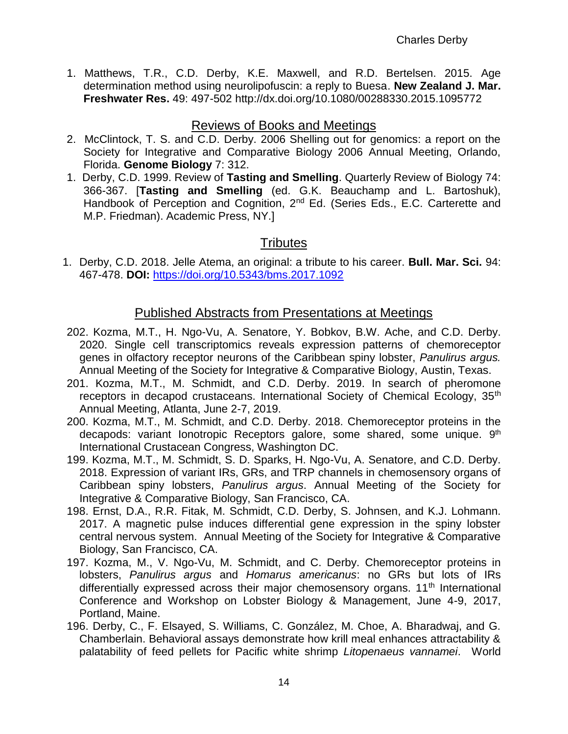1. Matthews, T.R., C.D. Derby, K.E. Maxwell, and R.D. Bertelsen. 2015. Age determination method using neurolipofuscin: a reply to Buesa. **New Zealand J. Mar. Freshwater Res.** 49: 497-502 <http://dx.doi.org/10.1080/00288330.2015.1095772>

### Reviews of Books and Meetings

- 2. McClintock, T. S. and C.D. Derby. 2006 Shelling out for genomics: a report on the Society for Integrative and Comparative Biology 2006 Annual Meeting, Orlando, Florida. **Genome Biology** 7: 312.
- 1. Derby, C.D. 1999. Review of **Tasting and Smelling**. Quarterly Review of Biology 74: 366-367. [**Tasting and Smelling** (ed. G.K. Beauchamp and L. Bartoshuk), Handbook of Perception and Cognition, 2<sup>nd</sup> Ed. (Series Eds., E.C. Carterette and M.P. Friedman). Academic Press, NY.]

# **Tributes**

1. Derby, C.D. 2018. Jelle Atema, an original: a tribute to his career. **Bull. Mar. Sci.** 94: 467-478. **DOI:** <https://doi.org/10.5343/bms.2017.1092>

### Published Abstracts from Presentations at Meetings

- 202. Kozma, M.T., H. Ngo-Vu, A. Senatore, Y. Bobkov, B.W. Ache, and C.D. Derby. 2020. Single cell transcriptomics reveals expression patterns of chemoreceptor genes in olfactory receptor neurons of the Caribbean spiny lobster, *Panulirus argus.*  Annual Meeting of the Society for Integrative & Comparative Biology, Austin, Texas.
- 201. Kozma, M.T., M. Schmidt, and C.D. Derby. 2019. In search of pheromone receptors in decapod crustaceans. International Society of Chemical Ecology, 35<sup>th</sup> Annual Meeting, Atlanta, June 2-7, 2019.
- 200. Kozma, M.T., M. Schmidt, and C.D. Derby. 2018. Chemoreceptor proteins in the decapods: variant lonotropic Receptors galore, some shared, some unique. 9<sup>th</sup> International Crustacean Congress, Washington DC.
- 199. Kozma, M.T., M. Schmidt, S. D. Sparks, H. Ngo-Vu, A. Senatore, and C.D. Derby. 2018. Expression of variant IRs, GRs, and TRP channels in chemosensory organs of Caribbean spiny lobsters, *Panulirus argus*. Annual Meeting of the Society for Integrative & Comparative Biology, San Francisco, CA.
- 198. Ernst, D.A., R.R. Fitak, M. Schmidt, C.D. Derby, S. Johnsen, and K.J. Lohmann. 2017. A magnetic pulse induces differential gene expression in the spiny lobster central nervous system. Annual Meeting of the Society for Integrative & Comparative Biology, San Francisco, CA.
- 197. Kozma, M., V. Ngo-Vu, M. Schmidt, and C. Derby. Chemoreceptor proteins in lobsters, *Panulirus argus* and *Homarus americanus*: no GRs but lots of IRs differentially expressed across their major chemosensory organs. 11<sup>th</sup> International Conference and Workshop on Lobster Biology & Management, June 4-9, 2017, Portland, Maine.
- 196. Derby, C., F. Elsayed, S. Williams, C. González, M. Choe, A. Bharadwaj, and G. Chamberlain. Behavioral assays demonstrate how krill meal enhances attractability & palatability of feed pellets for Pacific white shrimp *Litopenaeus vannamei*. World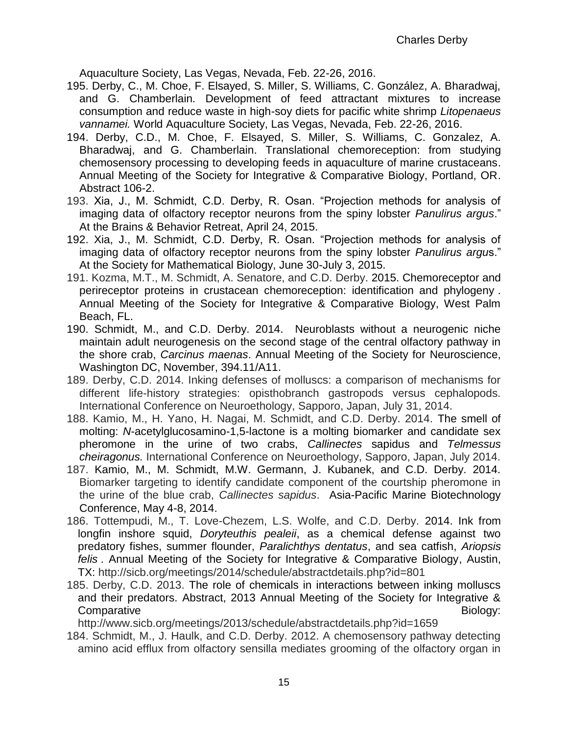Aquaculture Society, Las Vegas, Nevada, Feb. 22-26, 2016.

- 195. Derby, C., M. Choe, F. Elsayed, S. Miller, S. Williams, C. González, A. Bharadwaj, and G. Chamberlain. Development of feed attractant mixtures to increase consumption and reduce waste in high-soy diets for pacific white shrimp *Litopenaeus vannamei.* World Aquaculture Society, Las Vegas, Nevada, Feb. 22-26, 2016.
- 194. Derby, C.D., M. Choe, F. Elsayed, S. Miller, S. Williams, C. Gonzalez, A. Bharadwaj, and G. Chamberlain. Translational chemoreception: from studying chemosensory processing to developing feeds in aquaculture of marine crustaceans. Annual Meeting of the Society for Integrative & Comparative Biology, Portland, OR. Abstract 106-2.
- 193. Xia, J., M. Schmidt, C.D. Derby, R. Osan. "Projection methods for analysis of imaging data of olfactory receptor neurons from the spiny lobster *Panulirus argus*." At the Brains & Behavior Retreat, April 24, 2015.
- 192. Xia, J., M. Schmidt, C.D. Derby, R. Osan. "Projection methods for analysis of imaging data of olfactory receptor neurons from the spiny lobster *Panulirus argu*s." At the Society for Mathematical Biology, June 30-July 3, 2015.
- 191. Kozma, M.T., M. Schmidt, A. Senatore, and C.D. Derby. 2015. Chemoreceptor and perireceptor proteins in crustacean chemoreception: identification and phylogeny . Annual Meeting of the Society for Integrative & Comparative Biology, West Palm Beach, FL.
- 190. Schmidt, M., and C.D. Derby. 2014. Neuroblasts without a neurogenic niche maintain adult neurogenesis on the second stage of the central olfactory pathway in the shore crab, *Carcinus maenas*. Annual Meeting of the Society for Neuroscience, Washington DC, November, 394.11/A11.
- 189. Derby, C.D. 2014. Inking defenses of molluscs: a comparison of mechanisms for different life-history strategies: opisthobranch gastropods versus cephalopods. International Conference on Neuroethology, Sapporo, Japan, July 31, 2014.
- 188. Kamio, M., H. Yano, H. Nagai, M. Schmidt, and C.D. Derby. 2014. The smell of molting: *N*-acetylglucosamino-1,5-lactone is a molting biomarker and candidate sex pheromone in the urine of two crabs, *Callinectes* sapidus and *Telmessus cheiragonus.* International Conference on Neuroethology, Sapporo, Japan, July 2014.
- 187. Kamio, M., M. Schmidt, M.W. Germann, J. Kubanek, and C.D. Derby. 2014. Biomarker targeting to identify candidate component of the courtship pheromone in the urine of the blue crab, *Callinectes sapidus*. Asia-Pacific Marine Biotechnology Conference, May 4-8, 2014.
- 186. Tottempudi, M., T. Love-Chezem, L.S. Wolfe, and C.D. Derby. 2014. [Ink from](http://sicb.org/meetings/2014/schedule/abstractdetails.php?id=801)  longfin inshore squid, *Doryteuthis pealeii*[, as a chemical defense against two](http://sicb.org/meetings/2014/schedule/abstractdetails.php?id=801)  [predatory fishes, summer flounder,](http://sicb.org/meetings/2014/schedule/abstractdetails.php?id=801) *Paralichthys dentatus*, and sea catfish, *Ariopsis [felis](http://sicb.org/meetings/2014/schedule/abstractdetails.php?id=801)* . Annual Meeting of the Society for Integrative & Comparative Biology, Austin, TX: http://sicb.org/meetings/2014/schedule/abstractdetails.php?id=801
- 185. Derby, C.D. 2013. The role of chemicals in interactions between inking molluscs and their predators. Abstract, 2013 Annual Meeting of the Society for Integrative & Comparative **Biology: Biology: Biology: Biology: Biology: Biology: Biology: Biology: Biology: Biology: Biology: Biology: Biology: Biology: Biology: Biology: Biology: Biology: Biology:**

http://www.sicb.org/meetings/2013/schedule/abstractdetails.php?id=1659

184. Schmidt, M., J. Haulk, and C.D. Derby. 2012. A chemosensory pathway detecting amino acid efflux from olfactory sensilla mediates grooming of the olfactory organ in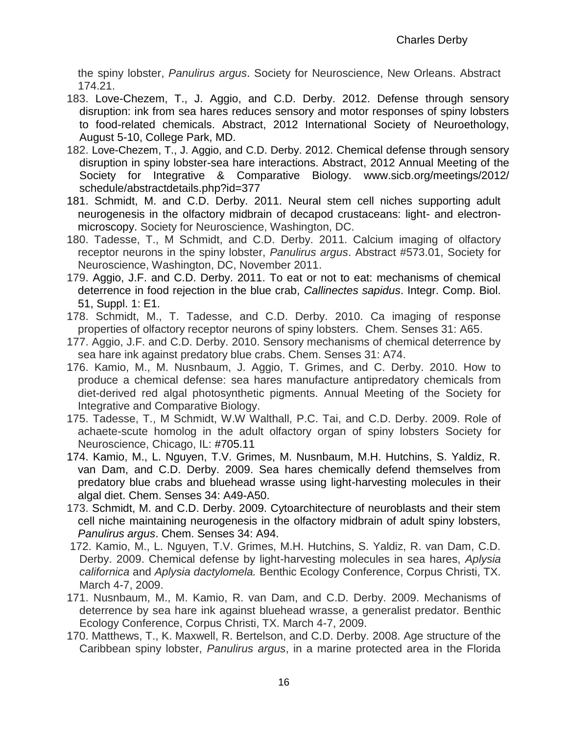the spiny lobster, *Panulirus argus*. Society for Neuroscience, New Orleans. Abstract 174.21.

- 183. Love-Chezem, T., J. Aggio, and C.D. Derby. 2012. Defense through sensory disruption: ink from sea hares reduces sensory and motor responses of spiny lobsters to food-related chemicals. Abstract, 2012 International Society of Neuroethology, August 5-10, College Park, MD.
- 182. Love-Chezem, T., J. Aggio, and C.D. Derby. 2012. Chemical defense through sensory disruption in spiny lobster-sea hare interactions. Abstract, 2012 Annual Meeting of the Society for Integrative & Comparative Biology. [www.sicb.org/meetings/2012/](http://www.sicb.org/meetings/2012/%20schedule/abstractdetails.php?id=377)  [schedule/abstractdetails.php?id=377](http://www.sicb.org/meetings/2012/%20schedule/abstractdetails.php?id=377)
- 181. Schmidt, M. and C.D. Derby. 2011. Neural stem cell niches supporting adult neurogenesis in the olfactory midbrain of decapod crustaceans: light- and electronmicroscopy. Society for Neuroscience, Washington, DC.
- 180. Tadesse, T., M Schmidt, and C.D. Derby. 2011. Calcium imaging of olfactory receptor neurons in the spiny lobster, *Panulirus argus*. Abstract #573.01, Society for Neuroscience, Washington, DC, November 2011.
- 179. Aggio, J.F. and C.D. Derby. 2011. [To eat or not to eat: mechanisms of chemical](http://apps.isiknowledge.com.ezproxy.gsu.edu/full_record.do?product=WOS&search_mode=GeneralSearch&qid=1&SID=1Bcio@IMDC8JL6cDFcM&page=1&doc=1&cacheurlFromRightClick=no)  [deterrence in food rejection in the blue crab,](http://apps.isiknowledge.com.ezproxy.gsu.edu/full_record.do?product=WOS&search_mode=GeneralSearch&qid=1&SID=1Bcio@IMDC8JL6cDFcM&page=1&doc=1&cacheurlFromRightClick=no) *Callinectes sapidus*. Integr. Comp. Biol. 51, Suppl. 1: E1.
- 178. Schmidt, M., T. Tadesse, and C.D. Derby. 2010. Ca imaging of response properties of olfactory receptor neurons of spiny lobsters. Chem. Senses 31: A65.
- 177. Aggio, J.F. and C.D. Derby. 2010. Sensory mechanisms of chemical deterrence by sea hare ink against predatory blue crabs. Chem. Senses 31: A74.
- 176. Kamio, M., M. Nusnbaum, J. Aggio, T. Grimes, and C. Derby. 2010. How to produce a chemical defense: sea hares manufacture antipredatory chemicals from diet-derived red algal photosynthetic pigments. Annual Meeting of the Society for Integrative and Comparative Biology.
- 175. Tadesse, T., M Schmidt, W.W Walthall, P.C. Tai, and C.D. Derby. 2009. Role of achaete-scute homolog in the adult olfactory organ of spiny lobsters Society for Neuroscience, Chicago, IL: #705.11
- 174. Kamio, M., L. Nguyen, T.V. Grimes, M. Nusnbaum, M.H. Hutchins, S. Yaldiz, R. van Dam, and C.D. Derby. 2009. Sea hares chemically defend themselves from predatory blue crabs and bluehead wrasse using light-harvesting molecules in their algal diet. Chem. Senses 34: A49-A50.
- 173. Schmidt, M. and C.D. Derby. 2009. Cytoarchitecture of neuroblasts and their stem cell niche maintaining neurogenesis in the olfactory midbrain of adult spiny lobsters, *Panulirus argus*. Chem. Senses 34: A94.
- 172. Kamio, M., L. Nguyen, T.V. Grimes, M.H. Hutchins, S. Yaldiz, R. van Dam, C.D. Derby. 2009. Chemical defense by light-harvesting molecules in sea hares, *Aplysia californica* and *Aplysia dactylomela.* Benthic Ecology Conference, Corpus Christi, TX. March 4-7, 2009.
- 171. Nusnbaum, M., M. Kamio, R. van Dam, and C.D. Derby. 2009. Mechanisms of deterrence by sea hare ink against bluehead wrasse, a generalist predator. Benthic Ecology Conference, Corpus Christi, TX. March 4-7, 2009.
- 170. Matthews, T., K. Maxwell, R. Bertelson, and C.D. Derby. 2008. Age structure of the Caribbean spiny lobster, *Panulirus argus*, in a marine protected area in the Florida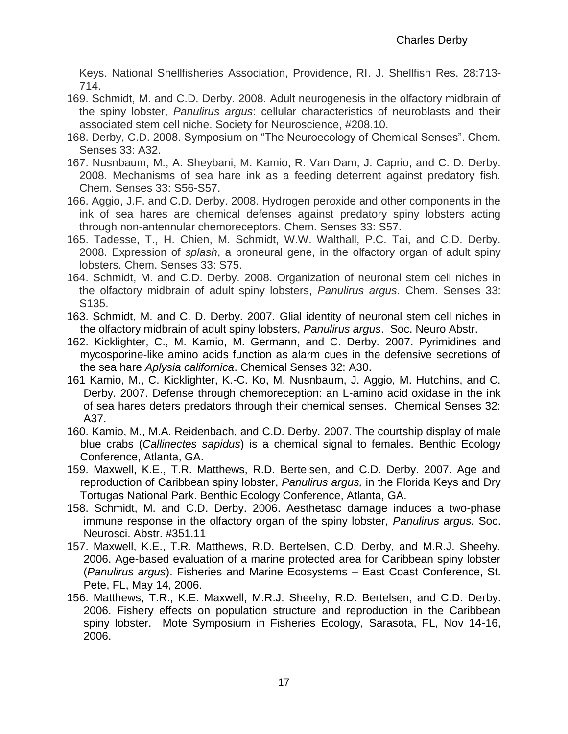Keys. National Shellfisheries Association, Providence, RI. J. Shellfish Res. 28:713- 714.

- 169. Schmidt, M. and C.D. Derby. 2008. Adult neurogenesis in the olfactory midbrain of the spiny lobster, *Panulirus argus*: cellular characteristics of neuroblasts and their associated stem cell niche. Society for Neuroscience, #208.10.
- 168. Derby, C.D. 2008. Symposium on "The Neuroecology of Chemical Senses". Chem. Senses 33: A32.
- 167. Nusnbaum, M., A. Sheybani, M. Kamio, R. Van Dam, J. Caprio, and C. D. Derby. 2008. Mechanisms of sea hare ink as a feeding deterrent against predatory fish. Chem. Senses 33: S56-S57.
- 166. Aggio, J.F. and C.D. Derby. 2008. Hydrogen peroxide and other components in the ink of sea hares are chemical defenses against predatory spiny lobsters acting through non-antennular chemoreceptors. Chem. Senses 33: S57.
- 165. Tadesse, T., H. Chien, M. Schmidt, W.W. Walthall, P.C. Tai, and C.D. Derby. 2008. Expression of *splash*, a proneural gene, in the olfactory organ of adult spiny lobsters. Chem. Senses 33: S75.
- 164. Schmidt, M. and C.D. Derby. 2008. Organization of neuronal stem cell niches in the olfactory midbrain of adult spiny lobsters, *Panulirus argus*. Chem. Senses 33: S135.
- 163. Schmidt, M. and C. D. Derby. 2007. Glial identity of neuronal stem cell niches in the olfactory midbrain of adult spiny lobsters, *Panulirus argus*. Soc. Neuro Abstr.
- 162. Kicklighter, C., M. Kamio, M. Germann, and C. Derby. 2007. Pyrimidines and mycosporine-like amino acids function as alarm cues in the defensive secretions of the sea hare *Aplysia californica*. Chemical Senses 32: A30.
- 161 Kamio, M., C. Kicklighter, K.-C. Ko, M. Nusnbaum, J. Aggio, M. Hutchins, and C. Derby. 2007. Defense through chemoreception: an L-amino acid oxidase in the ink of sea hares deters predators through their chemical senses. Chemical Senses 32: A37.
- 160. Kamio, M., M.A. Reidenbach, and C.D. Derby. 2007. The courtship display of male blue crabs (*Callinectes sapidus*) is a chemical signal to females. Benthic Ecology Conference, Atlanta, GA.
- 159. Maxwell, K.E., T.R. Matthews, R.D. Bertelsen, and C.D. Derby. 2007. Age and reproduction of Caribbean spiny lobster, *Panulirus argus,* in the Florida Keys and Dry Tortugas National Park. Benthic Ecology Conference, Atlanta, GA.
- 158. Schmidt, M. and C.D. Derby. 2006. Aesthetasc damage induces a two-phase immune response in the olfactory organ of the spiny lobster, *Panulirus argus.* Soc. Neurosci. Abstr. #351.11
- 157. Maxwell, K.E., T.R. Matthews, R.D. Bertelsen, C.D. Derby, and M.R.J. Sheehy. 2006. Age-based evaluation of a marine protected area for Caribbean spiny lobster (*Panulirus argus*). Fisheries and Marine Ecosystems – East Coast Conference, St. Pete, FL, May 14, 2006.
- 156. Matthews, T.R., K.E. Maxwell, M.R.J. Sheehy, R.D. Bertelsen, and C.D. Derby. 2006. Fishery effects on population structure and reproduction in the Caribbean spiny lobster. Mote Symposium in Fisheries Ecology, Sarasota, FL, Nov 14-16, 2006.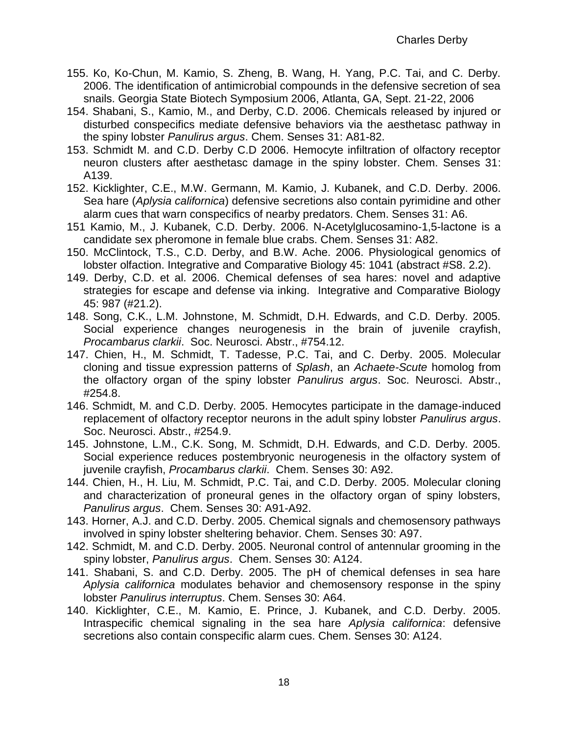- 155. Ko, Ko-Chun, M. Kamio, S. Zheng, B. Wang, H. Yang, P.C. Tai, and C. Derby. 2006. The identification of antimicrobial compounds in the defensive secretion of sea snails. Georgia State Biotech Symposium 2006, Atlanta, GA, Sept. 21-22, 2006
- 154. Shabani, S., Kamio, M., and Derby, C.D. 2006. Chemicals released by injured or disturbed conspecifics mediate defensive behaviors via the aesthetasc pathway in the spiny lobster *Panulirus argus*. Chem. Senses 31: A81-82.
- 153. Schmidt M. and C.D. Derby C.D 2006. Hemocyte infiltration of olfactory receptor neuron clusters after aesthetasc damage in the spiny lobster. Chem. Senses 31: A139.
- 152. Kicklighter, C.E., M.W. Germann, M. Kamio, J. Kubanek, and C.D. Derby. 2006. Sea hare (*Aplysia californica*) defensive secretions also contain pyrimidine and other alarm cues that warn conspecifics of nearby predators. Chem. Senses 31: A6.
- 151 Kamio, M., J. Kubanek, C.D. Derby. 2006. N-Acetylglucosamino-1,5-lactone is a candidate sex pheromone in female blue crabs. Chem. Senses 31: A82.
- 150. McClintock, T.S., C.D. Derby, and B.W. Ache. 2006. Physiological genomics of lobster olfaction. Integrative and Comparative Biology 45: 1041 (abstract #S8. 2.2).
- 149. Derby, C.D. et al. 2006. Chemical defenses of sea hares: novel and adaptive strategies for escape and defense via inking. Integrative and Comparative Biology 45: 987 (#21.2).
- 148. Song, C.K., L.M. Johnstone, M. Schmidt, D.H. Edwards, and C.D. Derby. 2005. Social experience changes neurogenesis in the brain of juvenile crayfish, *Procambarus clarkii*. Soc. Neurosci. Abstr., #754.12.
- 147. Chien, H., M. Schmidt, T. Tadesse, P.C. Tai, and C. Derby. 2005. Molecular cloning and tissue expression patterns of *Splash*, an *Achaete-Scute* homolog from the olfactory organ of the spiny lobster *Panulirus argus*. Soc. Neurosci. Abstr., #254.8.
- 146. Schmidt, M. and C.D. Derby. 2005. Hemocytes participate in the damage-induced replacement of olfactory receptor neurons in the adult spiny lobster *Panulirus argus*. Soc. Neurosci. Abstr., #254.9.
- 145. Johnstone, L.M., C.K. Song, M. Schmidt, D.H. Edwards, and C.D. Derby. 2005. Social experience reduces postembryonic neurogenesis in the olfactory system of juvenile crayfish, *Procambarus clarkii*. Chem. Senses 30: A92.
- 144. Chien, H., H. Liu, M. Schmidt, P.C. Tai, and C.D. Derby. 2005. Molecular cloning and characterization of proneural genes in the olfactory organ of spiny lobsters, *Panulirus argus*. Chem. Senses 30: A91-A92.
- 143. Horner, A.J. and C.D. Derby. 2005. Chemical signals and chemosensory pathways involved in spiny lobster sheltering behavior. Chem. Senses 30: A97.
- 142. Schmidt, M. and C.D. Derby. 2005. Neuronal control of antennular grooming in the spiny lobster, *Panulirus argus*. Chem. Senses 30: A124.
- 141. Shabani, S. and C.D. Derby. 2005. The pH of chemical defenses in sea hare *Aplysia californica* modulates behavior and chemosensory response in the spiny lobster *Panulirus interruptus*. Chem. Senses 30: A64.
- 140. Kicklighter, C.E., M. Kamio, E. Prince, J. Kubanek, and C.D. Derby. 2005. Intraspecific chemical signaling in the sea hare *Aplysia californica*: defensive secretions also contain conspecific alarm cues. Chem. Senses 30: A124.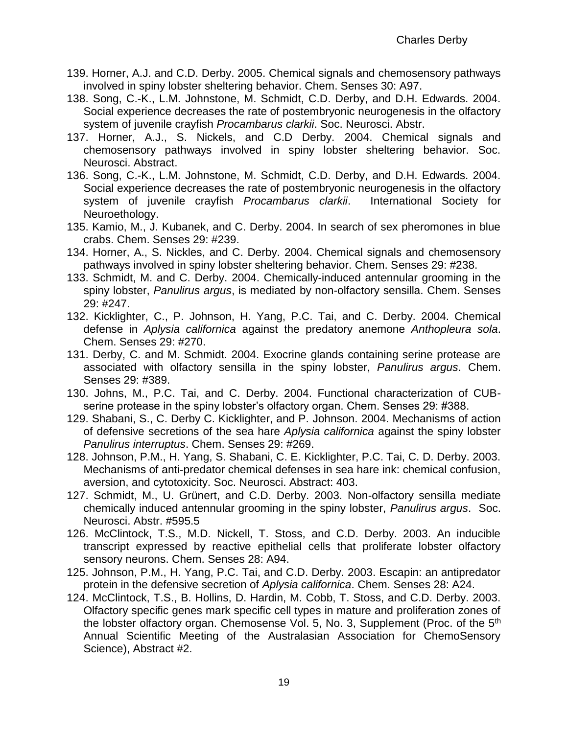- 139. Horner, A.J. and C.D. Derby. 2005. Chemical signals and chemosensory pathways involved in spiny lobster sheltering behavior. Chem. Senses 30: A97.
- 138. Song, C.-K., L.M. Johnstone, M. Schmidt, C.D. Derby, and D.H. Edwards. 2004. Social experience decreases the rate of postembryonic neurogenesis in the olfactory system of juvenile crayfish *Procambarus clarkii*. Soc. Neurosci. Abstr.
- 137. Horner, A.J., S. Nickels, and C.D Derby. 2004. Chemical signals and chemosensory pathways involved in spiny lobster sheltering behavior. Soc. Neurosci. Abstract.
- 136. Song, C.-K., L.M. Johnstone, M. Schmidt, C.D. Derby, and D.H. Edwards. 2004. Social experience decreases the rate of postembryonic neurogenesis in the olfactory system of juvenile crayfish *Procambarus clarkii*. International Society for Neuroethology.
- 135. Kamio, M., J. Kubanek, and C. Derby. 2004. In search of sex pheromones in blue crabs. Chem. Senses 29: #239.
- 134. Horner, A., S. Nickles, and C. Derby. 2004. Chemical signals and chemosensory pathways involved in spiny lobster sheltering behavior. Chem. Senses 29: #238.
- 133. Schmidt, M. and C. Derby. 2004. Chemically-induced antennular grooming in the spiny lobster, *Panulirus argus*, is mediated by non-olfactory sensilla. Chem. Senses 29: #247.
- 132. Kicklighter, C., P. Johnson, H. Yang, P.C. Tai, and C. Derby. 2004. Chemical defense in *Aplysia californica* against the predatory anemone *Anthopleura sola*. Chem. Senses 29: #270.
- 131. Derby, C. and M. Schmidt. 2004. Exocrine glands containing serine protease are associated with olfactory sensilla in the spiny lobster, *Panulirus argus*. Chem. Senses 29: #389.
- 130. Johns, M., P.C. Tai, and C. Derby. 2004. Functional characterization of CUBserine protease in the spiny lobster's olfactory organ. Chem. Senses 29: #388.
- 129. Shabani, S., C. Derby C. Kicklighter, and P. Johnson. 2004. Mechanisms of action of defensive secretions of the sea hare *Aplysia californica* against the spiny lobster *Panulirus interruptus*. Chem. Senses 29: #269.
- 128. Johnson, P.M., H. Yang, S. Shabani, C. E. Kicklighter, P.C. Tai, C. D. Derby. 2003. Mechanisms of anti-predator chemical defenses in sea hare ink: chemical confusion, aversion, and cytotoxicity. Soc. Neurosci. Abstract: 403.
- 127. Schmidt, M., U. Grünert, and C.D. Derby. 2003. Non-olfactory sensilla mediate chemically induced antennular grooming in the spiny lobster, *Panulirus argus*. Soc. Neurosci. Abstr. #595.5
- 126. McClintock, T.S., M.D. Nickell, T. Stoss, and C.D. Derby. 2003. An inducible transcript expressed by reactive epithelial cells that proliferate lobster olfactory sensory neurons. Chem. Senses 28: A94.
- 125. Johnson, P.M., H. Yang, P.C. Tai, and C.D. Derby. 2003. Escapin: an antipredator protein in the defensive secretion of *Aplysia californica*. Chem. Senses 28: A24.
- 124. McClintock, T.S., B. Hollins, D. Hardin, M. Cobb, T. Stoss, and C.D. Derby. 2003. Olfactory specific genes mark specific cell types in mature and proliferation zones of the lobster olfactory organ. Chemosense Vol. 5, No. 3, Supplement (Proc. of the  $5<sup>th</sup>$ Annual Scientific Meeting of the Australasian Association for ChemoSensory Science), Abstract #2.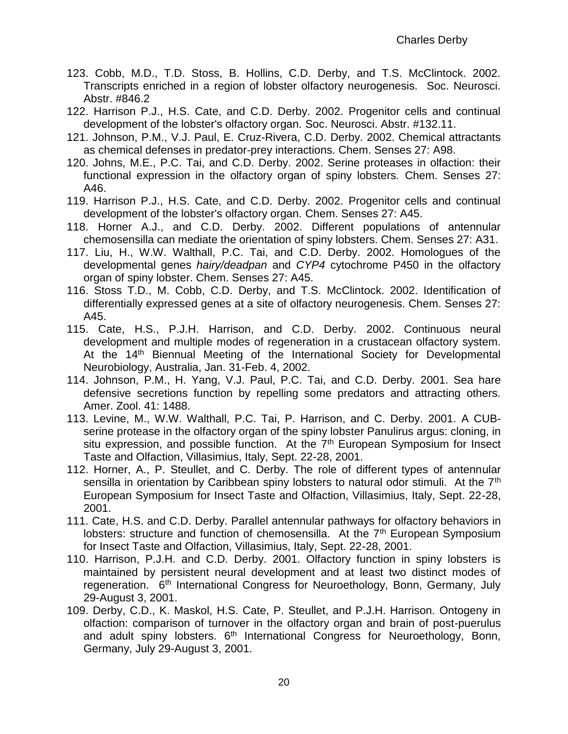- 123. Cobb, M.D., T.D. Stoss, B. Hollins, C.D. Derby, and T.S. McClintock. 2002. Transcripts enriched in a region of lobster olfactory neurogenesis. Soc. Neurosci. Abstr. #846.2
- 122. Harrison P.J., H.S. Cate, and C.D. Derby. 2002. Progenitor cells and continual development of the lobster's olfactory organ*.* Soc. Neurosci. Abstr. #132.11.
- 121. Johnson, P.M., V.J. Paul, E. Cruz-Rivera, C.D. Derby. 2002. Chemical attractants as chemical defenses in predator-prey interactions. Chem. Senses 27: A98.
- 120. Johns, M.E., P.C. Tai, and C.D. Derby. 2002. Serine proteases in olfaction: their functional expression in the olfactory organ of spiny lobsters*.* Chem. Senses 27: A46.
- 119. Harrison P.J., H.S. Cate, and C.D. Derby. 2002. Progenitor cells and continual development of the lobster's olfactory organ*.* Chem. Senses 27: A45.
- 118. Horner A.J., and C.D. Derby. 2002. Different populations of antennular chemosensilla can mediate the orientation of spiny lobsters. Chem. Senses 27: A31.
- 117. Liu, H., W.W. Walthall, P.C. Tai, and C.D. Derby. 2002. Homologues of the developmental genes *hairy/deadpan* and *CYP4* cytochrome P450 in the olfactory organ of spiny lobster. Chem. Senses 27: A45.
- 116. Stoss T.D., M. Cobb, C.D. Derby, and T.S. McClintock. 2002. Identification of differentially expressed genes at a site of olfactory neurogenesis. Chem. Senses 27: A45.
- 115. Cate, H.S., P.J.H. Harrison, and C.D. Derby. 2002. Continuous neural development and multiple modes of regeneration in a crustacean olfactory system. At the 14<sup>th</sup> Biennual Meeting of the International Society for Developmental Neurobiology, Australia, Jan. 31-Feb. 4, 2002.
- 114. Johnson, P.M., H. Yang, V.J. Paul, P.C. Tai, and C.D. Derby. 2001. Sea hare defensive secretions function by repelling some predators and attracting others. Amer. Zool. 41: 1488.
- 113. Levine, M., W.W. Walthall, P.C. Tai, P. Harrison, and C. Derby. 2001. A CUBserine protease in the olfactory organ of the spiny lobster Panulirus argus: cloning, in situ expression, and possible function. At the  $7<sup>th</sup>$  European Symposium for Insect Taste and Olfaction, Villasimius, Italy, Sept. 22-28, 2001.
- 112. Horner, A., P. Steullet, and C. Derby. The role of different types of antennular sensilla in orientation by Caribbean spiny lobsters to natural odor stimuli. At the  $7<sup>th</sup>$ European Symposium for Insect Taste and Olfaction, Villasimius, Italy, Sept. 22-28, 2001.
- 111. Cate, H.S. and C.D. Derby. Parallel antennular pathways for olfactory behaviors in lobsters: structure and function of chemosensilla. At the  $7<sup>th</sup>$  European Symposium for Insect Taste and Olfaction, Villasimius, Italy, Sept. 22-28, 2001.
- 110. Harrison, P.J.H. and C.D. Derby. 2001. Olfactory function in spiny lobsters is maintained by persistent neural development and at least two distinct modes of regeneration. 6<sup>th</sup> International Congress for Neuroethology, Bonn, Germany, July 29-August 3, 2001.
- 109. Derby, C.D., K. Maskol, H.S. Cate, P. Steullet, and P.J.H. Harrison. Ontogeny in olfaction: comparison of turnover in the olfactory organ and brain of post-puerulus and adult spiny lobsters. 6<sup>th</sup> International Congress for Neuroethology, Bonn, Germany, July 29-August 3, 2001.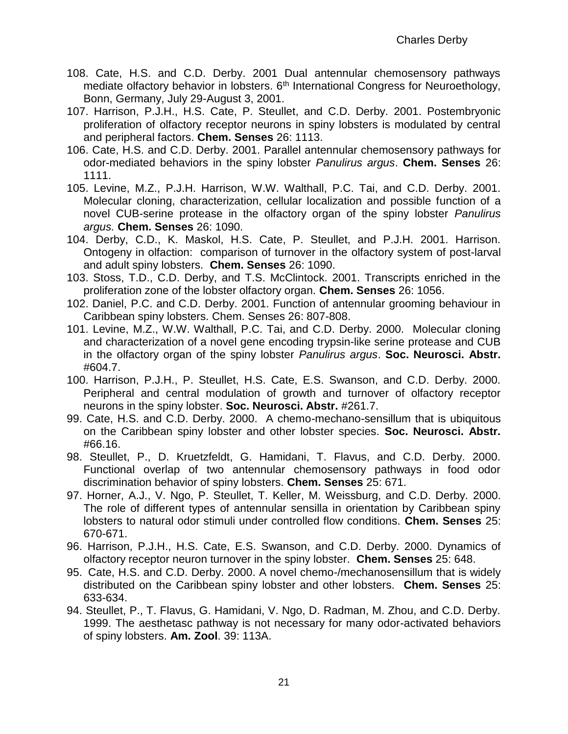- 108. Cate, H.S. and C.D. Derby. 2001 Dual antennular chemosensory pathways mediate olfactory behavior in lobsters. 6<sup>th</sup> International Congress for Neuroethology, Bonn, Germany, July 29-August 3, 2001.
- 107. Harrison, P.J.H., H.S. Cate, P. Steullet, and C.D. Derby. 2001. Postembryonic proliferation of olfactory receptor neurons in spiny lobsters is modulated by central and peripheral factors. **Chem. Senses** 26: 1113.
- 106. Cate, H.S. and C.D. Derby. 2001. Parallel antennular chemosensory pathways for odor-mediated behaviors in the spiny lobster *Panulirus argus*. **Chem. Senses** 26: 1111.
- 105. Levine, M.Z., P.J.H. Harrison, W.W. Walthall, P.C. Tai, and C.D. Derby. 2001. Molecular cloning, characterization, cellular localization and possible function of a novel CUB-serine protease in the olfactory organ of the spiny lobster *Panulirus argus.* **Chem. Senses** 26: 1090.
- 104. Derby, C.D., K. Maskol, H.S. Cate, P. Steullet, and P.J.H. 2001. Harrison. Ontogeny in olfaction: comparison of turnover in the olfactory system of post-larval and adult spiny lobsters. **Chem. Senses** 26: 1090.
- 103. Stoss, T.D., C.D. Derby, and T.S. McClintock. 2001. Transcripts enriched in the proliferation zone of the lobster olfactory organ. **Chem. Senses** 26: 1056.
- 102. Daniel, P.C. and C.D. Derby. 2001. Function of antennular grooming behaviour in Caribbean spiny lobsters. Chem. Senses 26: 807-808.
- 101. Levine, M.Z., W.W. Walthall, P.C. Tai, and C.D. Derby. 2000. Molecular cloning and characterization of a novel gene encoding trypsin-like serine protease and CUB in the olfactory organ of the spiny lobster *Panulirus argus*. **Soc. Neurosci. Abstr.** #604.7.
- 100. Harrison, P.J.H., P. Steullet, H.S. Cate, E.S. Swanson, and C.D. Derby. 2000. Peripheral and central modulation of growth and turnover of olfactory receptor neurons in the spiny lobster. **Soc. Neurosci. Abstr.** #261.7.
- 99. Cate, H.S. and C.D. Derby. 2000. A chemo-mechano-sensillum that is ubiquitous on the Caribbean spiny lobster and other lobster species. **Soc. Neurosci. Abstr.** #66.16.
- 98. Steullet, P., D. Kruetzfeldt, G. Hamidani, T. Flavus, and C.D. Derby. 2000. Functional overlap of two antennular chemosensory pathways in food odor discrimination behavior of spiny lobsters. **Chem. Senses** 25: 671.
- 97. Horner, A.J., V. Ngo, P. Steullet, T. Keller, M. Weissburg, and C.D. Derby. 2000. The role of different types of antennular sensilla in orientation by Caribbean spiny lobsters to natural odor stimuli under controlled flow conditions. **Chem. Senses** 25: 670-671.
- 96. Harrison, P.J.H., H.S. Cate, E.S. Swanson, and C.D. Derby. 2000. Dynamics of olfactory receptor neuron turnover in the spiny lobster. **Chem. Senses** 25: 648.
- 95. Cate, H.S. and C.D. Derby. 2000. A novel chemo-/mechanosensillum that is widely distributed on the Caribbean spiny lobster and other lobsters. **Chem. Senses** 25: 633-634.
- 94. Steullet, P., T. Flavus, G. Hamidani, V. Ngo, D. Radman, M. Zhou, and C.D. Derby. 1999. The aesthetasc pathway is not necessary for many odor-activated behaviors of spiny lobsters. **Am. Zool**. 39: 113A.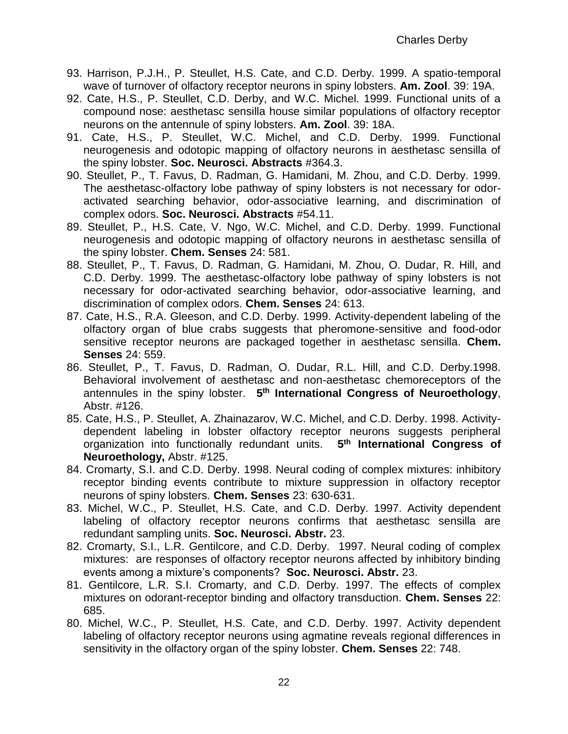- 93. Harrison, P.J.H., P. Steullet, H.S. Cate, and C.D. Derby. 1999. A spatio-temporal wave of turnover of olfactory receptor neurons in spiny lobsters. **Am. Zool**. 39: 19A.
- 92. Cate, H.S., P. Steullet, C.D. Derby, and W.C. Michel. 1999. Functional units of a compound nose: aesthetasc sensilla house similar populations of olfactory receptor neurons on the antennule of spiny lobsters. **Am. Zool**. 39: 18A.
- 91. Cate, H.S., P. Steullet, W.C. Michel, and C.D. Derby. 1999. Functional neurogenesis and odotopic mapping of olfactory neurons in aesthetasc sensilla of the spiny lobster. **Soc. Neurosci. Abstracts** #364.3.
- 90. Steullet, P., T. Favus, D. Radman, G. Hamidani, M. Zhou, and C.D. Derby. 1999. The aesthetasc-olfactory lobe pathway of spiny lobsters is not necessary for odoractivated searching behavior, odor-associative learning, and discrimination of complex odors. **Soc. Neurosci. Abstracts** #54.11.
- 89. Steullet, P., H.S. Cate, V. Ngo, W.C. Michel, and C.D. Derby. 1999. Functional neurogenesis and odotopic mapping of olfactory neurons in aesthetasc sensilla of the spiny lobster. **Chem. Senses** 24: 581.
- 88. Steullet, P., T. Favus, D. Radman, G. Hamidani, M. Zhou, O. Dudar, R. Hill, and C.D. Derby. 1999. The aesthetasc-olfactory lobe pathway of spiny lobsters is not necessary for odor-activated searching behavior, odor-associative learning, and discrimination of complex odors. **Chem. Senses** 24: 613.
- 87. Cate, H.S., R.A. Gleeson, and C.D. Derby. 1999. Activity-dependent labeling of the olfactory organ of blue crabs suggests that pheromone-sensitive and food-odor sensitive receptor neurons are packaged together in aesthetasc sensilla. **Chem. Senses** 24: 559.
- 86. Steullet, P., T. Favus, D. Radman, O. Dudar, R.L. Hill, and C.D. Derby.1998. Behavioral involvement of aesthetasc and non-aesthetasc chemoreceptors of the antennules in the spiny lobster. **5 th International Congress of Neuroethology**, Abstr. #126.
- 85. Cate, H.S., P. Steullet, A. Zhainazarov, W.C. Michel, and C.D. Derby. 1998. Activitydependent labeling in lobster olfactory receptor neurons suggests peripheral organization into functionally redundant units. **5 th International Congress of Neuroethology,** Abstr. #125.
- 84. Cromarty, S.I. and C.D. Derby. 1998. Neural coding of complex mixtures: inhibitory receptor binding events contribute to mixture suppression in olfactory receptor neurons of spiny lobsters. **Chem. Senses** 23: 630-631.
- 83. Michel, W.C., P. Steullet, H.S. Cate, and C.D. Derby. 1997. Activity dependent labeling of olfactory receptor neurons confirms that aesthetasc sensilla are redundant sampling units. **Soc. Neurosci. Abstr.** 23.
- 82. Cromarty, S.I., L.R. Gentilcore, and C.D. Derby. 1997. Neural coding of complex mixtures: are responses of olfactory receptor neurons affected by inhibitory binding events among a mixture's components? **Soc. Neurosci. Abstr.** 23.
- 81. Gentilcore, L.R. S.I. Cromarty, and C.D. Derby. 1997. The effects of complex mixtures on odorant-receptor binding and olfactory transduction. **Chem. Senses** 22: 685.
- 80. Michel, W.C., P. Steullet, H.S. Cate, and C.D. Derby. 1997. Activity dependent labeling of olfactory receptor neurons using agmatine reveals regional differences in sensitivity in the olfactory organ of the spiny lobster. **Chem. Senses** 22: 748.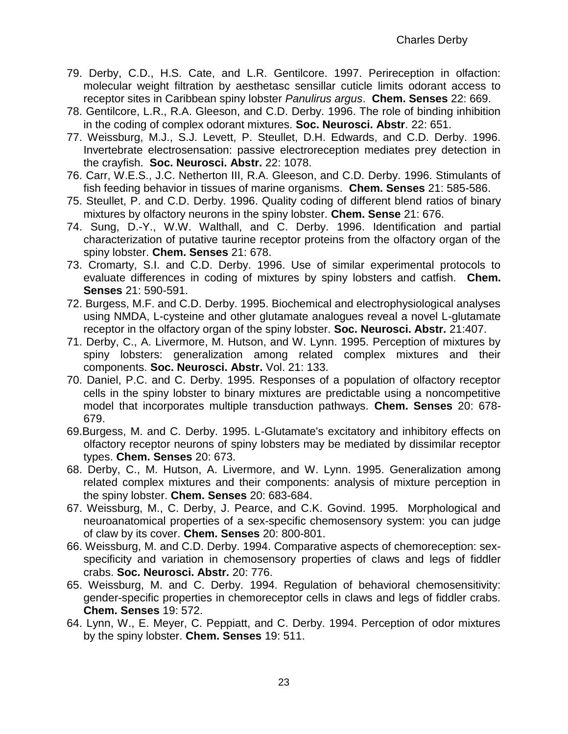- 79. Derby, C.D., H.S. Cate, and L.R. Gentilcore. 1997. Perireception in olfaction: molecular weight filtration by aesthetasc sensillar cuticle limits odorant access to receptor sites in Caribbean spiny lobster *Panulirus argus*. **Chem. Senses** 22: 669.
- 78. Gentilcore, L.R., R.A. Gleeson, and C.D. Derby. 1996. The role of binding inhibition in the coding of complex odorant mixtures. **Soc. Neurosci. Abstr**. 22: 651.
- 77. Weissburg, M.J., S.J. Levett, P. Steullet, D.H. Edwards, and C.D. Derby. 1996. Invertebrate electrosensation: passive electroreception mediates prey detection in the crayfish. **Soc. Neurosci. Abstr.** 22: 1078.
- 76. Carr, W.E.S., J.C. Netherton III, R.A. Gleeson, and C.D. Derby. 1996. Stimulants of fish feeding behavior in tissues of marine organisms. **Chem. Senses** 21: 585-586.
- 75. Steullet, P. and C.D. Derby. 1996. Quality coding of different blend ratios of binary mixtures by olfactory neurons in the spiny lobster. **Chem. Sense** 21: 676.
- 74. Sung, D.-Y., W.W. Walthall, and C. Derby. 1996. Identification and partial characterization of putative taurine receptor proteins from the olfactory organ of the spiny lobster. **Chem. Senses** 21: 678.
- 73. Cromarty, S.I. and C.D. Derby. 1996. Use of similar experimental protocols to evaluate differences in coding of mixtures by spiny lobsters and catfish. **Chem. Senses** 21: 590-591.
- 72. Burgess, M.F. and C.D. Derby. 1995. Biochemical and electrophysiological analyses using NMDA, L-cysteine and other glutamate analogues reveal a novel L-glutamate receptor in the olfactory organ of the spiny lobster. **Soc. Neurosci. Abstr.** 21:407.
- 71. Derby, C., A. Livermore, M. Hutson, and W. Lynn. 1995. Perception of mixtures by spiny lobsters: generalization among related complex mixtures and their components. **Soc. Neurosci. Abstr.** Vol. 21: 133.
- 70. Daniel, P.C. and C. Derby. 1995. Responses of a population of olfactory receptor cells in the spiny lobster to binary mixtures are predictable using a noncompetitive model that incorporates multiple transduction pathways. **Chem. Senses** 20: 678- 679.
- 69.Burgess, M. and C. Derby. 1995. L-Glutamate's excitatory and inhibitory effects on olfactory receptor neurons of spiny lobsters may be mediated by dissimilar receptor types. **Chem. Senses** 20: 673.
- 68. Derby, C., M. Hutson, A. Livermore, and W. Lynn. 1995. Generalization among related complex mixtures and their components: analysis of mixture perception in the spiny lobster. **Chem. Senses** 20: 683-684.
- 67. Weissburg, M., C. Derby, J. Pearce, and C.K. Govind. 1995. Morphological and neuroanatomical properties of a sex-specific chemosensory system: you can judge of claw by its cover. **Chem. Senses** 20: 800-801.
- 66. Weissburg, M. and C.D. Derby. 1994. Comparative aspects of chemoreception: sexspecificity and variation in chemosensory properties of claws and legs of fiddler crabs. **Soc. Neurosci. Abstr.** 20: 776.
- 65. Weissburg, M. and C. Derby. 1994. Regulation of behavioral chemosensitivity: gender-specific properties in chemoreceptor cells in claws and legs of fiddler crabs. **Chem. Senses** 19: 572.
- 64. Lynn, W., E. Meyer, C. Peppiatt, and C. Derby. 1994. Perception of odor mixtures by the spiny lobster. **Chem. Senses** 19: 511.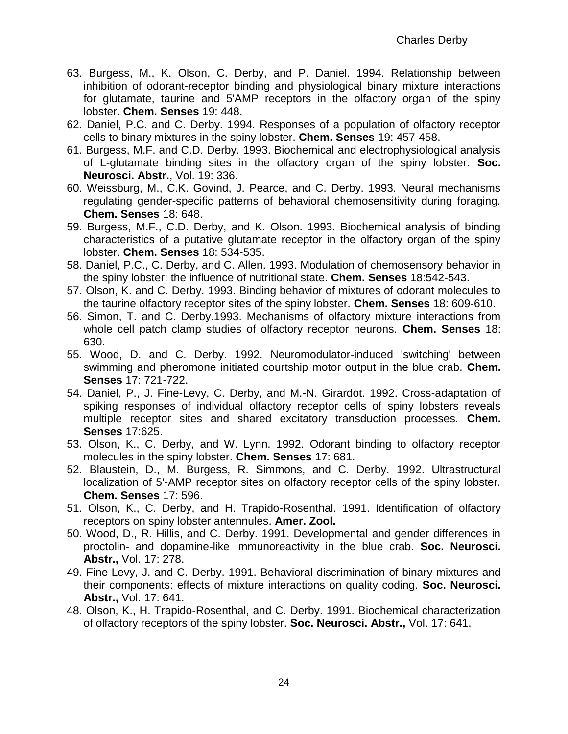- 63. Burgess, M., K. Olson, C. Derby, and P. Daniel. 1994. Relationship between inhibition of odorant-receptor binding and physiological binary mixture interactions for glutamate, taurine and 5'AMP receptors in the olfactory organ of the spiny lobster. **Chem. Senses** 19: 448.
- 62. Daniel, P.C. and C. Derby. 1994. Responses of a population of olfactory receptor cells to binary mixtures in the spiny lobster. **Chem. Senses** 19: 457-458.
- 61. Burgess, M.F. and C.D. Derby. 1993. Biochemical and electrophysiological analysis of L-glutamate binding sites in the olfactory organ of the spiny lobster. **Soc. Neurosci. Abstr.**, Vol. 19: 336.
- 60. Weissburg, M., C.K. Govind, J. Pearce, and C. Derby. 1993. Neural mechanisms regulating gender-specific patterns of behavioral chemosensitivity during foraging. **Chem. Senses** 18: 648.
- 59. Burgess, M.F., C.D. Derby, and K. Olson. 1993. Biochemical analysis of binding characteristics of a putative glutamate receptor in the olfactory organ of the spiny lobster. **Chem. Senses** 18: 534-535.
- 58. Daniel, P.C., C. Derby, and C. Allen. 1993. Modulation of chemosensory behavior in the spiny lobster: the influence of nutritional state. **Chem. Senses** 18:542-543.
- 57. Olson, K. and C. Derby. 1993. Binding behavior of mixtures of odorant molecules to the taurine olfactory receptor sites of the spiny lobster. **Chem. Senses** 18: 609-610.
- 56. Simon, T. and C. Derby.1993. Mechanisms of olfactory mixture interactions from whole cell patch clamp studies of olfactory receptor neurons. **Chem. Senses** 18: 630.
- 55. Wood, D. and C. Derby. 1992. Neuromodulator-induced 'switching' between swimming and pheromone initiated courtship motor output in the blue crab. **Chem. Senses** 17: 721-722.
- 54. Daniel, P., J. Fine-Levy, C. Derby, and M.-N. Girardot. 1992. Cross-adaptation of spiking responses of individual olfactory receptor cells of spiny lobsters reveals multiple receptor sites and shared excitatory transduction processes. **Chem. Senses** 17:625.
- 53. Olson, K., C. Derby, and W. Lynn. 1992. Odorant binding to olfactory receptor molecules in the spiny lobster. **Chem. Senses** 17: 681.
- 52. Blaustein, D., M. Burgess, R. Simmons, and C. Derby. 1992. Ultrastructural localization of 5'-AMP receptor sites on olfactory receptor cells of the spiny lobster. **Chem. Senses** 17: 596.
- 51. Olson, K., C. Derby, and H. Trapido-Rosenthal. 1991. Identification of olfactory receptors on spiny lobster antennules. **Amer. Zool.**
- 50. Wood, D., R. Hillis, and C. Derby. 1991. Developmental and gender differences in proctolin- and dopamine-like immunoreactivity in the blue crab. **Soc. Neurosci. Abstr.,** Vol. 17: 278.
- 49. Fine-Levy, J. and C. Derby. 1991. Behavioral discrimination of binary mixtures and their components: effects of mixture interactions on quality coding. **Soc. Neurosci. Abstr.,** Vol. 17: 641.
- 48. Olson, K., H. Trapido-Rosenthal, and C. Derby. 1991. Biochemical characterization of olfactory receptors of the spiny lobster. **Soc. Neurosci. Abstr.,** Vol. 17: 641.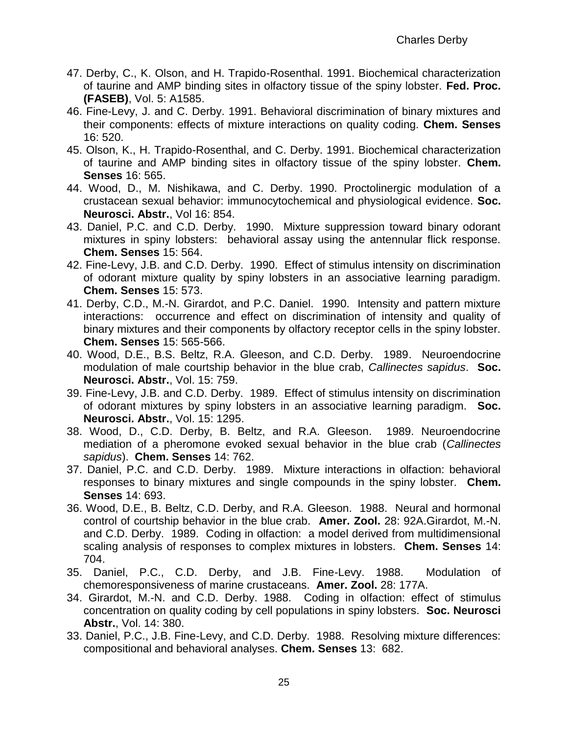- 47. Derby, C., K. Olson, and H. Trapido-Rosenthal. 1991. Biochemical characterization of taurine and AMP binding sites in olfactory tissue of the spiny lobster. **Fed. Proc. (FASEB)**, Vol. 5: A1585.
- 46. Fine-Levy, J. and C. Derby. 1991. Behavioral discrimination of binary mixtures and their components: effects of mixture interactions on quality coding. **Chem. Senses** 16: 520.
- 45. Olson, K., H. Trapido-Rosenthal, and C. Derby. 1991. Biochemical characterization of taurine and AMP binding sites in olfactory tissue of the spiny lobster. **Chem. Senses** 16: 565.
- 44. Wood, D., M. Nishikawa, and C. Derby. 1990. Proctolinergic modulation of a crustacean sexual behavior: immunocytochemical and physiological evidence. **Soc. Neurosci. Abstr.**, Vol 16: 854.
- 43. Daniel, P.C. and C.D. Derby. 1990. Mixture suppression toward binary odorant mixtures in spiny lobsters: behavioral assay using the antennular flick response. **Chem. Senses** 15: 564.
- 42. Fine-Levy, J.B. and C.D. Derby. 1990. Effect of stimulus intensity on discrimination of odorant mixture quality by spiny lobsters in an associative learning paradigm. **Chem. Senses** 15: 573.
- 41. Derby, C.D., M.-N. Girardot, and P.C. Daniel. 1990. Intensity and pattern mixture interactions: occurrence and effect on discrimination of intensity and quality of binary mixtures and their components by olfactory receptor cells in the spiny lobster. **Chem. Senses** 15: 565-566.
- 40. Wood, D.E., B.S. Beltz, R.A. Gleeson, and C.D. Derby. 1989. Neuroendocrine modulation of male courtship behavior in the blue crab, *Callinectes sapidus*. **Soc. Neurosci. Abstr.**, Vol. 15: 759.
- 39. Fine-Levy, J.B. and C.D. Derby. 1989. Effect of stimulus intensity on discrimination of odorant mixtures by spiny lobsters in an associative learning paradigm. **Soc. Neurosci. Abstr.**, Vol. 15: 1295.
- 38. Wood, D., C.D. Derby, B. Beltz, and R.A. Gleeson. 1989. Neuroendocrine mediation of a pheromone evoked sexual behavior in the blue crab (*Callinectes sapidus*). **Chem. Senses** 14: 762.
- 37. Daniel, P.C. and C.D. Derby. 1989. Mixture interactions in olfaction: behavioral responses to binary mixtures and single compounds in the spiny lobster. **Chem. Senses** 14: 693.
- 36. Wood, D.E., B. Beltz, C.D. Derby, and R.A. Gleeson. 1988. Neural and hormonal control of courtship behavior in the blue crab. **Amer. Zool.** 28: 92A.Girardot, M.-N. and C.D. Derby. 1989. Coding in olfaction: a model derived from multidimensional scaling analysis of responses to complex mixtures in lobsters. **Chem. Senses** 14: 704.
- 35. Daniel, P.C., C.D. Derby, and J.B. Fine-Levy. 1988. Modulation of chemoresponsiveness of marine crustaceans. **Amer. Zool.** 28: 177A.
- 34. Girardot, M.-N. and C.D. Derby. 1988. Coding in olfaction: effect of stimulus concentration on quality coding by cell populations in spiny lobsters. **Soc. Neurosci Abstr.**, Vol. 14: 380.
- 33. Daniel, P.C., J.B. Fine-Levy, and C.D. Derby. 1988. Resolving mixture differences: compositional and behavioral analyses. **Chem. Senses** 13: 682.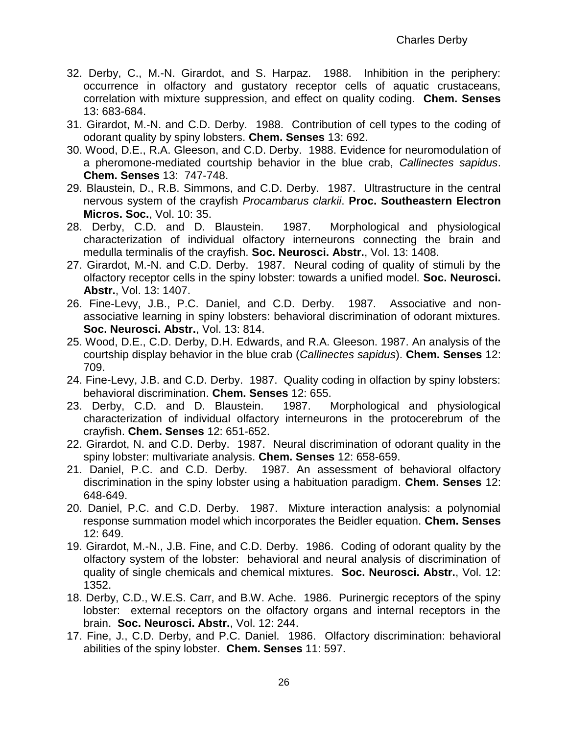- 32. Derby, C., M.-N. Girardot, and S. Harpaz. 1988. Inhibition in the periphery: occurrence in olfactory and gustatory receptor cells of aquatic crustaceans, correlation with mixture suppression, and effect on quality coding. **Chem. Senses** 13: 683-684.
- 31. Girardot, M.-N. and C.D. Derby. 1988. Contribution of cell types to the coding of odorant quality by spiny lobsters. **Chem. Senses** 13: 692.
- 30. Wood, D.E., R.A. Gleeson, and C.D. Derby. 1988. Evidence for neuromodulation of a pheromone-mediated courtship behavior in the blue crab, *Callinectes sapidus*. **Chem. Senses** 13: 747-748.
- 29. Blaustein, D., R.B. Simmons, and C.D. Derby. 1987. Ultrastructure in the central nervous system of the crayfish *Procambarus clarkii*. **Proc. Southeastern Electron Micros. Soc.**, Vol. 10: 35.
- 28. Derby, C.D. and D. Blaustein. 1987. Morphological and physiological characterization of individual olfactory interneurons connecting the brain and medulla terminalis of the crayfish. **Soc. Neurosci. Abstr.**, Vol. 13: 1408.
- 27. Girardot, M.-N. and C.D. Derby. 1987. Neural coding of quality of stimuli by the olfactory receptor cells in the spiny lobster: towards a unified model. **Soc. Neurosci. Abstr.**, Vol. 13: 1407.
- 26. Fine-Levy, J.B., P.C. Daniel, and C.D. Derby. 1987. Associative and nonassociative learning in spiny lobsters: behavioral discrimination of odorant mixtures. **Soc. Neurosci. Abstr.**, Vol. 13: 814.
- 25. Wood, D.E., C.D. Derby, D.H. Edwards, and R.A. Gleeson. 1987. An analysis of the courtship display behavior in the blue crab (*Callinectes sapidus*). **Chem. Senses** 12: 709.
- 24. Fine-Levy, J.B. and C.D. Derby. 1987. Quality coding in olfaction by spiny lobsters: behavioral discrimination. **Chem. Senses** 12: 655.
- 23. Derby, C.D. and D. Blaustein. 1987. Morphological and physiological characterization of individual olfactory interneurons in the protocerebrum of the crayfish. **Chem. Senses** 12: 651-652.
- 22. Girardot, N. and C.D. Derby. 1987. Neural discrimination of odorant quality in the spiny lobster: multivariate analysis. **Chem. Senses** 12: 658-659.
- 21. Daniel, P.C. and C.D. Derby. 1987. An assessment of behavioral olfactory discrimination in the spiny lobster using a habituation paradigm. **Chem. Senses** 12: 648-649.
- 20. Daniel, P.C. and C.D. Derby. 1987. Mixture interaction analysis: a polynomial response summation model which incorporates the Beidler equation. **Chem. Senses**  12: 649.
- 19. Girardot, M.-N., J.B. Fine, and C.D. Derby. 1986. Coding of odorant quality by the olfactory system of the lobster: behavioral and neural analysis of discrimination of quality of single chemicals and chemical mixtures. **Soc. Neurosci. Abstr.**, Vol. 12: 1352.
- 18. Derby, C.D., W.E.S. Carr, and B.W. Ache. 1986. Purinergic receptors of the spiny lobster: external receptors on the olfactory organs and internal receptors in the brain. **Soc. Neurosci. Abstr.**, Vol. 12: 244.
- 17. Fine, J., C.D. Derby, and P.C. Daniel. 1986. Olfactory discrimination: behavioral abilities of the spiny lobster. **Chem. Senses** 11: 597.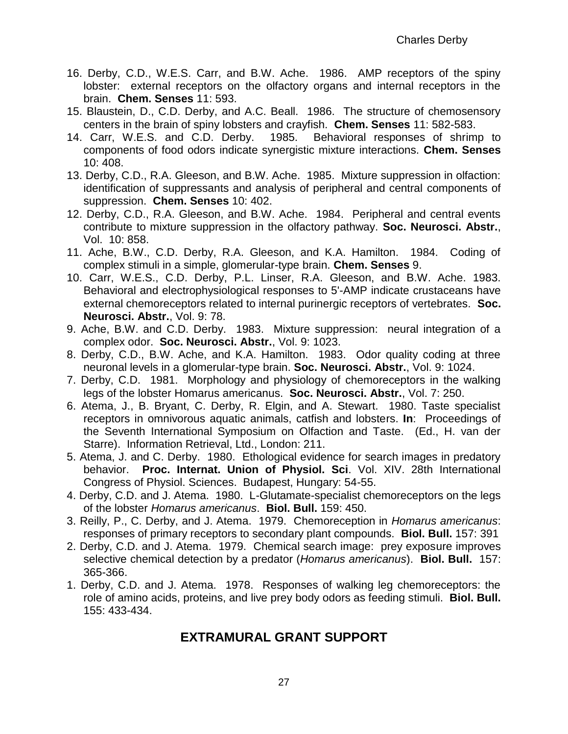- 16. Derby, C.D., W.E.S. Carr, and B.W. Ache. 1986. AMP receptors of the spiny lobster: external receptors on the olfactory organs and internal receptors in the brain. **Chem. Senses** 11: 593.
- 15. Blaustein, D., C.D. Derby, and A.C. Beall. 1986. The structure of chemosensory centers in the brain of spiny lobsters and crayfish. **Chem. Senses** 11: 582-583.
- 14. Carr, W.E.S. and C.D. Derby. 1985. Behavioral responses of shrimp to components of food odors indicate synergistic mixture interactions. **Chem. Senses** 10: 408.
- 13. Derby, C.D., R.A. Gleeson, and B.W. Ache. 1985. Mixture suppression in olfaction: identification of suppressants and analysis of peripheral and central components of suppression. **Chem. Senses** 10: 402.
- 12. Derby, C.D., R.A. Gleeson, and B.W. Ache. 1984. Peripheral and central events contribute to mixture suppression in the olfactory pathway. **Soc. Neurosci. Abstr.**, Vol. 10: 858.
- 11. Ache, B.W., C.D. Derby, R.A. Gleeson, and K.A. Hamilton. 1984. Coding of complex stimuli in a simple, glomerular-type brain. **Chem. Senses** 9.
- 10. Carr, W.E.S., C.D. Derby, P.L. Linser, R.A. Gleeson, and B.W. Ache. 1983. Behavioral and electrophysiological responses to 5'-AMP indicate crustaceans have external chemoreceptors related to internal purinergic receptors of vertebrates. **Soc. Neurosci. Abstr.**, Vol. 9: 78.
- 9. Ache, B.W. and C.D. Derby. 1983. Mixture suppression: neural integration of a complex odor. **Soc. Neurosci. Abstr.**, Vol. 9: 1023.
- 8. Derby, C.D., B.W. Ache, and K.A. Hamilton. 1983. Odor quality coding at three neuronal levels in a glomerular-type brain. **Soc. Neurosci. Abstr.**, Vol. 9: 1024.
- 7. Derby, C.D. 1981. Morphology and physiology of chemoreceptors in the walking legs of the lobster Homarus americanus. **Soc. Neurosci. Abstr.**, Vol. 7: 250.
- 6. Atema, J., B. Bryant, C. Derby, R. Elgin, and A. Stewart. 1980. Taste specialist receptors in omnivorous aquatic animals, catfish and lobsters. **In**: Proceedings of the Seventh International Symposium on Olfaction and Taste. (Ed., H. van der Starre). Information Retrieval, Ltd., London: 211.
- 5. Atema, J. and C. Derby. 1980. Ethological evidence for search images in predatory behavior. **Proc. Internat. Union of Physiol. Sci**. Vol. XIV. 28th International Congress of Physiol. Sciences. Budapest, Hungary: 54-55.
- 4. Derby, C.D. and J. Atema. 1980. L-Glutamate-specialist chemoreceptors on the legs of the lobster *Homarus americanus*. **Biol. Bull.** 159: 450.
- 3. Reilly, P., C. Derby, and J. Atema. 1979. Chemoreception in *Homarus americanus*: responses of primary receptors to secondary plant compounds. **Biol. Bull.** 157: 391
- 2. Derby, C.D. and J. Atema. 1979. Chemical search image: prey exposure improves selective chemical detection by a predator (*Homarus americanus*). **Biol. Bull.** 157: 365-366.
- 1. Derby, C.D. and J. Atema. 1978. Responses of walking leg chemoreceptors: the role of amino acids, proteins, and live prey body odors as feeding stimuli. **Biol. Bull.** 155: 433-434.

# **EXTRAMURAL GRANT SUPPORT**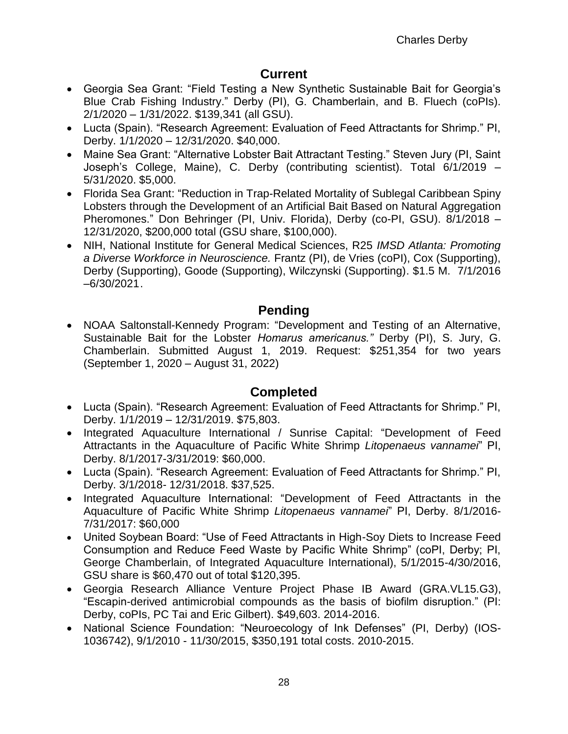# **Current**

- Georgia Sea Grant: "Field Testing a New Synthetic Sustainable Bait for Georgia's Blue Crab Fishing Industry." Derby (PI), G. Chamberlain, and B. Fluech (coPIs). 2/1/2020 – 1/31/2022. \$139,341 (all GSU).
- Lucta (Spain). "Research Agreement: Evaluation of Feed Attractants for Shrimp." PI, Derby. 1/1/2020 – 12/31/2020. \$40,000.
- Maine Sea Grant: "Alternative Lobster Bait Attractant Testing." Steven Jury (PI, Saint Joseph's College, Maine), C. Derby (contributing scientist). Total 6/1/2019 – 5/31/2020. \$5,000.
- Florida Sea Grant: "Reduction in Trap-Related Mortality of Sublegal Caribbean Spiny Lobsters through the Development of an Artificial Bait Based on Natural Aggregation Pheromones." Don Behringer (PI, Univ. Florida), Derby (co-PI, GSU). 8/1/2018 – 12/31/2020, \$200,000 total (GSU share, \$100,000).
- NIH, National Institute for General Medical Sciences, R25 *IMSD Atlanta: Promoting a Diverse Workforce in Neuroscience.* Frantz (PI), de Vries (coPI), Cox (Supporting), Derby (Supporting), Goode (Supporting), Wilczynski (Supporting). \$1.5 M. 7/1/2016 –6/30/2021.

# **Pending**

• NOAA Saltonstall-Kennedy Program: "Development and Testing of an Alternative, Sustainable Bait for the Lobster *Homarus americanus."* Derby (PI), S. Jury, G. Chamberlain. Submitted August 1, 2019. Request: \$251,354 for two years (September 1, 2020 – August 31, 2022)

# **Completed**

- Lucta (Spain). "Research Agreement: Evaluation of Feed Attractants for Shrimp." PI, Derby. 1/1/2019 – 12/31/2019. \$75,803.
- Integrated Aquaculture International / Sunrise Capital: "Development of Feed Attractants in the Aquaculture of Pacific White Shrimp *Litopenaeus vannamei*" PI, Derby. 8/1/2017-3/31/2019: \$60,000.
- Lucta (Spain). "Research Agreement: Evaluation of Feed Attractants for Shrimp." PI, Derby. 3/1/2018- 12/31/2018. \$37,525.
- Integrated Aquaculture International: "Development of Feed Attractants in the Aquaculture of Pacific White Shrimp *Litopenaeus vannamei*" PI, Derby. 8/1/2016- 7/31/2017: \$60,000
- United Soybean Board: "Use of Feed Attractants in High-Soy Diets to Increase Feed Consumption and Reduce Feed Waste by Pacific White Shrimp" (coPI, Derby; PI, George Chamberlain, of Integrated Aquaculture International), 5/1/2015-4/30/2016, GSU share is \$60,470 out of total \$120,395.
- Georgia Research Alliance Venture Project Phase IB Award (GRA.VL15.G3), "Escapin-derived antimicrobial compounds as the basis of biofilm disruption." (PI: Derby, coPIs, PC Tai and Eric Gilbert). \$49,603. 2014-2016.
- National Science Foundation: "Neuroecology of Ink Defenses" (PI, Derby) (IOS-1036742), 9/1/2010 - 11/30/2015, \$350,191 total costs. 2010-2015.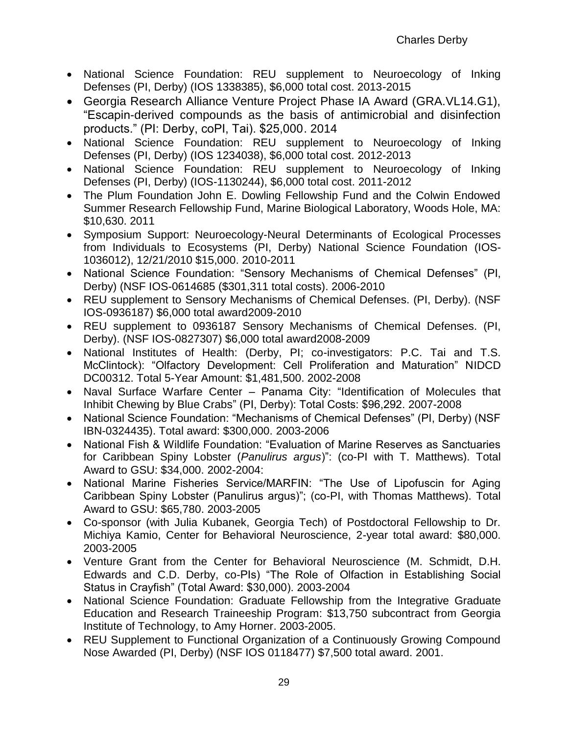- National Science Foundation: REU supplement to Neuroecology of Inking Defenses (PI, Derby) (IOS 1338385), \$6,000 total cost. 2013-2015
- Georgia Research Alliance Venture Project Phase IA Award (GRA.VL14.G1), "Escapin-derived compounds as the basis of antimicrobial and disinfection products." (PI: Derby, coPI, Tai). \$25,000. 2014
- National Science Foundation: REU supplement to Neuroecology of Inking Defenses (PI, Derby) (IOS 1234038), \$6,000 total cost. 2012-2013
- National Science Foundation: REU supplement to Neuroecology of Inking Defenses (PI, Derby) (IOS-1130244), \$6,000 total cost. 2011-2012
- The Plum Foundation John E. Dowling Fellowship Fund and the Colwin Endowed Summer Research Fellowship Fund, Marine Biological Laboratory, Woods Hole, MA: \$10,630. 2011
- Symposium Support: Neuroecology-Neural Determinants of Ecological Processes from Individuals to Ecosystems (PI, Derby) National Science Foundation (IOS-1036012), 12/21/2010 \$15,000. 2010-2011
- National Science Foundation: "Sensory Mechanisms of Chemical Defenses" (PI, Derby) (NSF IOS-0614685 (\$301,311 total costs). 2006-2010
- REU supplement to Sensory Mechanisms of Chemical Defenses. (PI, Derby). (NSF IOS-0936187) \$6,000 total award2009-2010
- REU supplement to [0936187](https://www.fastlane.nsf.gov/researchadmin/viewProposalStatusDetails.do?propId=0936187&performOrg=Georgia%20State%20University) Sensory Mechanisms of Chemical Defenses. (PI, Derby). (NSF IOS-0827307) \$6,000 total award2008-2009
- National Institutes of Health: (Derby, PI; co-investigators: P.C. Tai and T.S. McClintock): "Olfactory Development: Cell Proliferation and Maturation" NIDCD DC00312. Total 5-Year Amount: \$1,481,500. 2002-2008
- Naval Surface Warfare Center Panama City: "Identification of Molecules that Inhibit Chewing by Blue Crabs" (PI, Derby): Total Costs: \$96,292. 2007-2008
- National Science Foundation: "Mechanisms of Chemical Defenses" (PI, Derby) (NSF IBN-0324435). Total award: \$300,000. 2003-2006
- National Fish & Wildlife Foundation: "Evaluation of Marine Reserves as Sanctuaries for Caribbean Spiny Lobster (*Panulirus argus*)": (co-PI with T. Matthews). Total Award to GSU: \$34,000. 2002-2004:
- National Marine Fisheries Service/MARFIN: "The Use of Lipofuscin for Aging Caribbean Spiny Lobster (Panulirus argus)"; (co-PI, with Thomas Matthews). Total Award to GSU: \$65,780. 2003-2005
- Co-sponsor (with Julia Kubanek, Georgia Tech) of Postdoctoral Fellowship to Dr. Michiya Kamio, Center for Behavioral Neuroscience, 2-year total award: \$80,000. 2003-2005
- Venture Grant from the Center for Behavioral Neuroscience (M. Schmidt, D.H. Edwards and C.D. Derby, co-PIs) "The Role of Olfaction in Establishing Social Status in Crayfish" (Total Award: \$30,000). 2003-2004
- National Science Foundation: Graduate Fellowship from the Integrative Graduate Education and Research Traineeship Program: \$13,750 subcontract from Georgia Institute of Technology, to Amy Horner. 2003-2005.
- REU Supplement to Functional Organization of a Continuously Growing Compound Nose Awarded (PI, Derby) (NSF IOS 0118477) \$7,500 total award. 2001.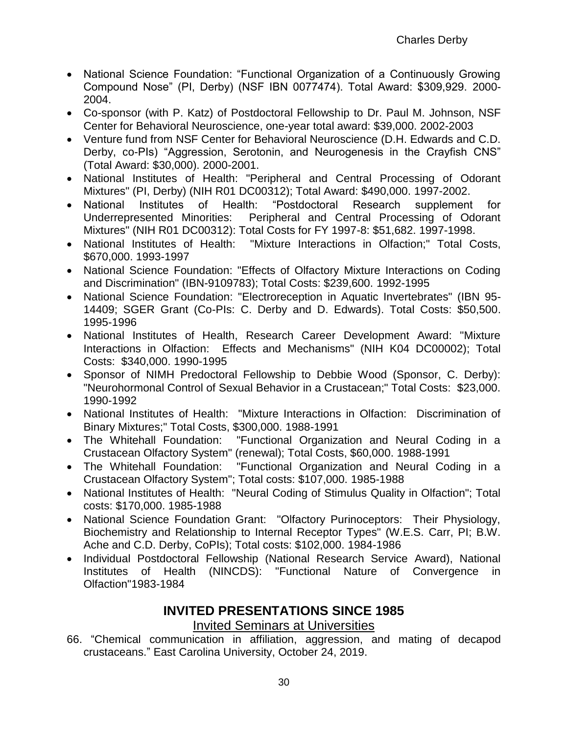- National Science Foundation: "Functional Organization of a Continuously Growing Compound Nose" (PI, Derby) (NSF IBN 0077474). Total Award: \$309,929. 2000- 2004.
- Co-sponsor (with P. Katz) of Postdoctoral Fellowship to Dr. Paul M. Johnson, NSF Center for Behavioral Neuroscience, one-year total award: \$39,000. 2002-2003
- Venture fund from NSF Center for Behavioral Neuroscience (D.H. Edwards and C.D. Derby, co-PIs) "Aggression, Serotonin, and Neurogenesis in the Crayfish CNS" (Total Award: \$30,000). 2000-2001.
- National Institutes of Health: "Peripheral and Central Processing of Odorant Mixtures" (PI, Derby) (NIH R01 DC00312); Total Award: \$490,000. 1997-2002.
- National Institutes of Health: "Postdoctoral Research supplement for Underrepresented Minorities: Peripheral and Central Processing of Odorant Mixtures" (NIH R01 DC00312): Total Costs for FY 1997-8: \$51,682. 1997-1998.
- National Institutes of Health: "Mixture Interactions in Olfaction;" Total Costs, \$670,000. 1993-1997
- National Science Foundation: "Effects of Olfactory Mixture Interactions on Coding and Discrimination" (IBN-9109783); Total Costs: \$239,600. 1992-1995
- National Science Foundation: "Electroreception in Aquatic Invertebrates" (IBN 95- 14409; SGER Grant (Co-PIs: C. Derby and D. Edwards). Total Costs: \$50,500. 1995-1996
- National Institutes of Health, Research Career Development Award: "Mixture Interactions in Olfaction: Effects and Mechanisms" (NIH K04 DC00002); Total Costs: \$340,000. 1990-1995
- Sponsor of NIMH Predoctoral Fellowship to Debbie Wood (Sponsor, C. Derby): "Neurohormonal Control of Sexual Behavior in a Crustacean;" Total Costs: \$23,000. 1990-1992
- National Institutes of Health: "Mixture Interactions in Olfaction: Discrimination of Binary Mixtures;" Total Costs, \$300,000. 1988-1991
- The Whitehall Foundation: "Functional Organization and Neural Coding in a Crustacean Olfactory System" (renewal); Total Costs, \$60,000. 1988-1991
- The Whitehall Foundation: "Functional Organization and Neural Coding in a Crustacean Olfactory System"; Total costs: \$107,000. 1985-1988
- National Institutes of Health: "Neural Coding of Stimulus Quality in Olfaction"; Total costs: \$170,000. 1985-1988
- National Science Foundation Grant: "Olfactory Purinoceptors: Their Physiology, Biochemistry and Relationship to Internal Receptor Types" (W.E.S. Carr, PI; B.W. Ache and C.D. Derby, CoPIs); Total costs: \$102,000. 1984-1986
- Individual Postdoctoral Fellowship (National Research Service Award), National Institutes of Health (NINCDS): "Functional Nature of Convergence in Olfaction"1983-1984

# **INVITED PRESENTATIONS SINCE 1985**

#### Invited Seminars at Universities

66. "Chemical communication in affiliation, aggression, and mating of decapod crustaceans." East Carolina University, October 24, 2019.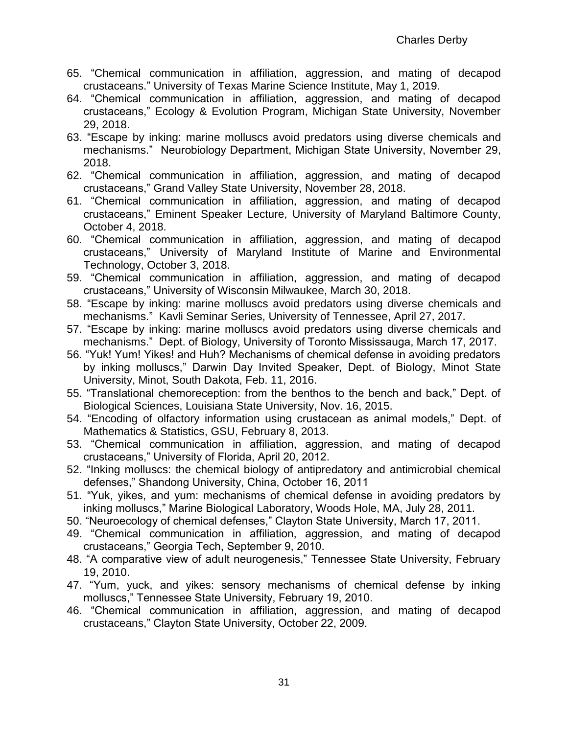- 65. "Chemical communication in affiliation, aggression, and mating of decapod crustaceans." University of Texas Marine Science Institute, May 1, 2019.
- 64. "Chemical communication in affiliation, aggression, and mating of decapod crustaceans," Ecology & Evolution Program, Michigan State University, November 29, 2018.
- 63. "Escape by inking: marine molluscs avoid predators using diverse chemicals and mechanisms." Neurobiology Department, Michigan State University, November 29, 2018.
- 62. "Chemical communication in affiliation, aggression, and mating of decapod crustaceans," Grand Valley State University, November 28, 2018.
- 61. "Chemical communication in affiliation, aggression, and mating of decapod crustaceans," Eminent Speaker Lecture, University of Maryland Baltimore County, October 4, 2018.
- 60. "Chemical communication in affiliation, aggression, and mating of decapod crustaceans," University of Maryland Institute of Marine and Environmental Technology, October 3, 2018.
- 59. "Chemical communication in affiliation, aggression, and mating of decapod crustaceans," University of Wisconsin Milwaukee, March 30, 2018.
- 58. "Escape by inking: marine molluscs avoid predators using diverse chemicals and mechanisms." Kavli Seminar Series, University of Tennessee, April 27, 2017.
- 57. "Escape by inking: marine molluscs avoid predators using diverse chemicals and mechanisms." Dept. of Biology, University of Toronto Mississauga, March 17, 2017.
- 56. "Yuk! Yum! Yikes! and Huh? Mechanisms of chemical defense in avoiding predators by inking molluscs," Darwin Day Invited Speaker, Dept. of Biology, Minot State University, Minot, South Dakota, Feb. 11, 2016.
- 55. "Translational chemoreception: from the benthos to the bench and back," Dept. of Biological Sciences, Louisiana State University, Nov. 16, 2015.
- 54. "Encoding of olfactory information using crustacean as animal models," Dept. of Mathematics & Statistics, GSU, February 8, 2013.
- 53. "Chemical communication in affiliation, aggression, and mating of decapod crustaceans," University of Florida, April 20, 2012.
- 52. "Inking molluscs: the chemical biology of antipredatory and antimicrobial chemical defenses," Shandong University, China, October 16, 2011
- 51. "Yuk, yikes, and yum: mechanisms of chemical defense in avoiding predators by inking molluscs," Marine Biological Laboratory, Woods Hole, MA, July 28, 2011.
- 50. "Neuroecology of chemical defenses," Clayton State University, March 17, 2011.
- 49. "Chemical communication in affiliation, aggression, and mating of decapod crustaceans," Georgia Tech, September 9, 2010.
- 48. "A comparative view of adult neurogenesis," Tennessee State University, February 19, 2010.
- 47. "Yum, yuck, and yikes: sensory mechanisms of chemical defense by inking molluscs," Tennessee State University, February 19, 2010.
- 46. "Chemical communication in affiliation, aggression, and mating of decapod crustaceans," Clayton State University, October 22, 2009.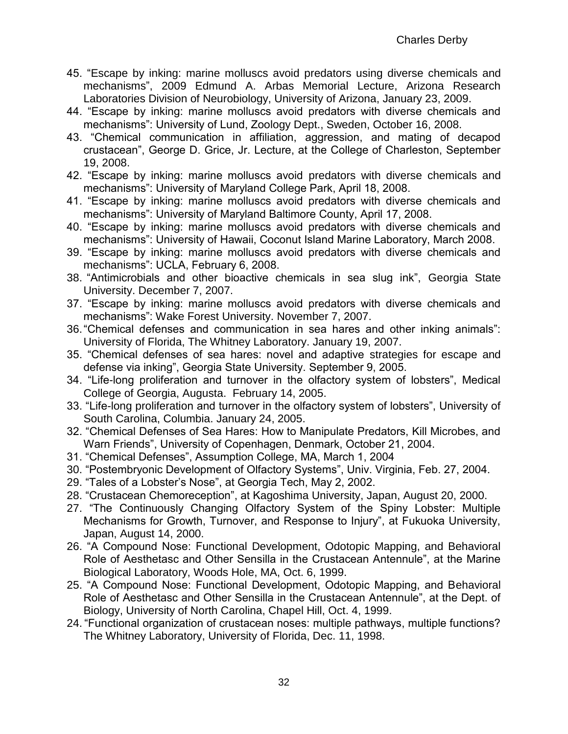- 45. "Escape by inking: marine molluscs avoid predators using diverse chemicals and mechanisms", 2009 Edmund A. Arbas Memorial Lecture, Arizona Research Laboratories Division of Neurobiology, University of Arizona, January 23, 2009.
- 44. "Escape by inking: marine molluscs avoid predators with diverse chemicals and mechanisms": University of Lund, Zoology Dept., Sweden, October 16, 2008.
- 43. "Chemical communication in affiliation, aggression, and mating of decapod crustacean", George D. Grice, Jr. Lecture, at the College of Charleston, September 19, 2008.
- 42. "Escape by inking: marine molluscs avoid predators with diverse chemicals and mechanisms": University of Maryland College Park, April 18, 2008.
- 41. "Escape by inking: marine molluscs avoid predators with diverse chemicals and mechanisms": University of Maryland Baltimore County, April 17, 2008.
- 40. "Escape by inking: marine molluscs avoid predators with diverse chemicals and mechanisms": University of Hawaii, Coconut Island Marine Laboratory, March 2008.
- 39. "Escape by inking: marine molluscs avoid predators with diverse chemicals and mechanisms": UCLA, February 6, 2008.
- 38. "Antimicrobials and other bioactive chemicals in sea slug ink", Georgia State University. December 7, 2007.
- 37. "Escape by inking: marine molluscs avoid predators with diverse chemicals and mechanisms": Wake Forest University. November 7, 2007.
- 36."Chemical defenses and communication in sea hares and other inking animals": University of Florida, The Whitney Laboratory. January 19, 2007.
- 35. "Chemical defenses of sea hares: novel and adaptive strategies for escape and defense via inking", Georgia State University. September 9, 2005.
- 34. "Life-long proliferation and turnover in the olfactory system of lobsters", Medical College of Georgia, Augusta. February 14, 2005.
- 33. "Life-long proliferation and turnover in the olfactory system of lobsters", University of South Carolina, Columbia. January 24, 2005.
- 32. "Chemical Defenses of Sea Hares: How to Manipulate Predators, Kill Microbes, and Warn Friends", University of Copenhagen, Denmark, October 21, 2004.
- 31. "Chemical Defenses", Assumption College, MA, March 1, 2004
- 30. "Postembryonic Development of Olfactory Systems", Univ. Virginia, Feb. 27, 2004.
- 29. "Tales of a Lobster's Nose", at Georgia Tech, May 2, 2002.
- 28. "Crustacean Chemoreception", at Kagoshima University, Japan, August 20, 2000.
- 27. "The Continuously Changing Olfactory System of the Spiny Lobster: Multiple Mechanisms for Growth, Turnover, and Response to Injury", at Fukuoka University, Japan, August 14, 2000.
- 26. "A Compound Nose: Functional Development, Odotopic Mapping, and Behavioral Role of Aesthetasc and Other Sensilla in the Crustacean Antennule", at the Marine Biological Laboratory, Woods Hole, MA, Oct. 6, 1999.
- 25. "A Compound Nose: Functional Development, Odotopic Mapping, and Behavioral Role of Aesthetasc and Other Sensilla in the Crustacean Antennule", at the Dept. of Biology, University of North Carolina, Chapel Hill, Oct. 4, 1999.
- 24. "Functional organization of crustacean noses: multiple pathways, multiple functions? The Whitney Laboratory, University of Florida, Dec. 11, 1998.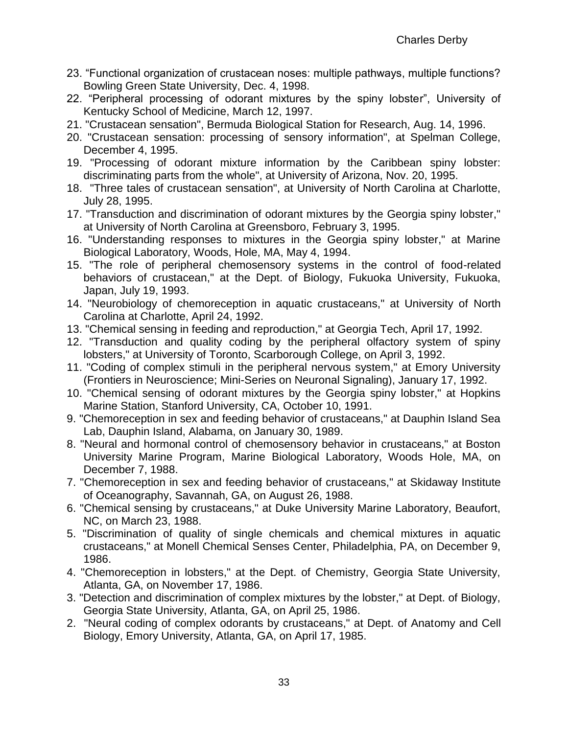- 23. "Functional organization of crustacean noses: multiple pathways, multiple functions? Bowling Green State University, Dec. 4, 1998.
- 22. "Peripheral processing of odorant mixtures by the spiny lobster", University of Kentucky School of Medicine, March 12, 1997.
- 21. "Crustacean sensation", Bermuda Biological Station for Research, Aug. 14, 1996.
- 20. "Crustacean sensation: processing of sensory information", at Spelman College, December 4, 1995.
- 19. "Processing of odorant mixture information by the Caribbean spiny lobster: discriminating parts from the whole", at University of Arizona, Nov. 20, 1995.
- 18. "Three tales of crustacean sensation", at University of North Carolina at Charlotte, July 28, 1995.
- 17. "Transduction and discrimination of odorant mixtures by the Georgia spiny lobster," at University of North Carolina at Greensboro, February 3, 1995.
- 16. "Understanding responses to mixtures in the Georgia spiny lobster," at Marine Biological Laboratory, Woods, Hole, MA, May 4, 1994.
- 15. "The role of peripheral chemosensory systems in the control of food-related behaviors of crustacean," at the Dept. of Biology, Fukuoka University, Fukuoka, Japan, July 19, 1993.
- 14. "Neurobiology of chemoreception in aquatic crustaceans," at University of North Carolina at Charlotte, April 24, 1992.
- 13. "Chemical sensing in feeding and reproduction," at Georgia Tech, April 17, 1992.
- 12. "Transduction and quality coding by the peripheral olfactory system of spiny lobsters," at University of Toronto, Scarborough College, on April 3, 1992.
- 11. "Coding of complex stimuli in the peripheral nervous system," at Emory University (Frontiers in Neuroscience; Mini-Series on Neuronal Signaling), January 17, 1992.
- 10. "Chemical sensing of odorant mixtures by the Georgia spiny lobster," at Hopkins Marine Station, Stanford University, CA, October 10, 1991.
- 9. "Chemoreception in sex and feeding behavior of crustaceans," at Dauphin Island Sea Lab, Dauphin Island, Alabama, on January 30, 1989.
- 8. "Neural and hormonal control of chemosensory behavior in crustaceans," at Boston University Marine Program, Marine Biological Laboratory, Woods Hole, MA, on December 7, 1988.
- 7. "Chemoreception in sex and feeding behavior of crustaceans," at Skidaway Institute of Oceanography, Savannah, GA, on August 26, 1988.
- 6. "Chemical sensing by crustaceans," at Duke University Marine Laboratory, Beaufort, NC, on March 23, 1988.
- 5. "Discrimination of quality of single chemicals and chemical mixtures in aquatic crustaceans," at Monell Chemical Senses Center, Philadelphia, PA, on December 9, 1986.
- 4. "Chemoreception in lobsters," at the Dept. of Chemistry, Georgia State University, Atlanta, GA, on November 17, 1986.
- 3. "Detection and discrimination of complex mixtures by the lobster," at Dept. of Biology, Georgia State University, Atlanta, GA, on April 25, 1986.
- 2. "Neural coding of complex odorants by crustaceans," at Dept. of Anatomy and Cell Biology, Emory University, Atlanta, GA, on April 17, 1985.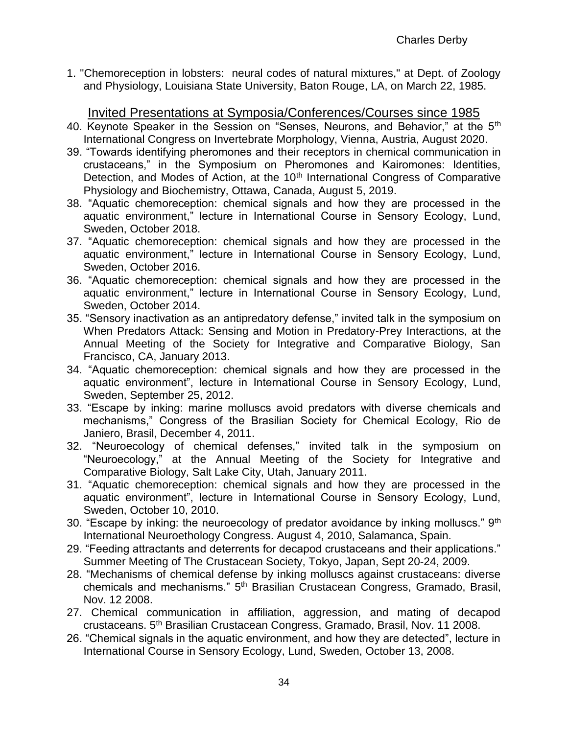1. "Chemoreception in lobsters: neural codes of natural mixtures," at Dept. of Zoology and Physiology, Louisiana State University, Baton Rouge, LA, on March 22, 1985.

Invited Presentations at Symposia/Conferences/Courses since 1985

- 40. Keynote Speaker in the Session on "Senses, Neurons, and Behavior," at the 5<sup>th</sup> International Congress on Invertebrate Morphology, Vienna, Austria, August 2020.
- 39. "Towards identifying pheromones and their receptors in chemical communication in crustaceans," in the Symposium on Pheromones and Kairomones: Identities, Detection, and Modes of Action, at the 10<sup>th</sup> International Congress of Comparative Physiology and Biochemistry, Ottawa, Canada, August 5, 2019.
- 38. "Aquatic chemoreception: chemical signals and how they are processed in the aquatic environment," lecture in International Course in Sensory Ecology, Lund, Sweden, October 2018.
- 37. "Aquatic chemoreception: chemical signals and how they are processed in the aquatic environment," lecture in International Course in Sensory Ecology, Lund, Sweden, October 2016.
- 36. "Aquatic chemoreception: chemical signals and how they are processed in the aquatic environment," lecture in International Course in Sensory Ecology, Lund, Sweden, October 2014.
- 35. "Sensory inactivation as an antipredatory defense," invited talk in the symposium on When Predators Attack: Sensing and Motion in Predatory-Prey Interactions, at the Annual Meeting of the Society for Integrative and Comparative Biology, San Francisco, CA, January 2013.
- 34. "Aquatic chemoreception: chemical signals and how they are processed in the aquatic environment", lecture in International Course in Sensory Ecology, Lund, Sweden, September 25, 2012.
- 33. "Escape by inking: marine molluscs avoid predators with diverse chemicals and mechanisms," Congress of the Brasilian Society for Chemical Ecology, Rio de Janiero, Brasil, December 4, 2011.
- 32. "Neuroecology of chemical defenses," invited talk in the symposium on "Neuroecology," at the Annual Meeting of the Society for Integrative and Comparative Biology, Salt Lake City, Utah, January 2011.
- 31. "Aquatic chemoreception: chemical signals and how they are processed in the aquatic environment", lecture in International Course in Sensory Ecology, Lund, Sweden, October 10, 2010.
- 30. "Escape by inking: the neuroecology of predator avoidance by inking molluscs."  $9<sup>th</sup>$ International Neuroethology Congress. August 4, 2010, Salamanca, Spain.
- 29. "Feeding attractants and deterrents for decapod crustaceans and their applications." Summer Meeting of The Crustacean Society, Tokyo, Japan, Sept 20-24, 2009.
- 28. "Mechanisms of chemical defense by inking molluscs against crustaceans: diverse chemicals and mechanisms." 5<sup>th</sup> Brasilian Crustacean Congress, Gramado, Brasil, Nov. 12 2008.
- 27. Chemical communication in affiliation, aggression, and mating of decapod crustaceans. 5th Brasilian Crustacean Congress, Gramado, Brasil, Nov. 11 2008.
- 26. "Chemical signals in the aquatic environment, and how they are detected", lecture in International Course in Sensory Ecology, Lund, Sweden, October 13, 2008.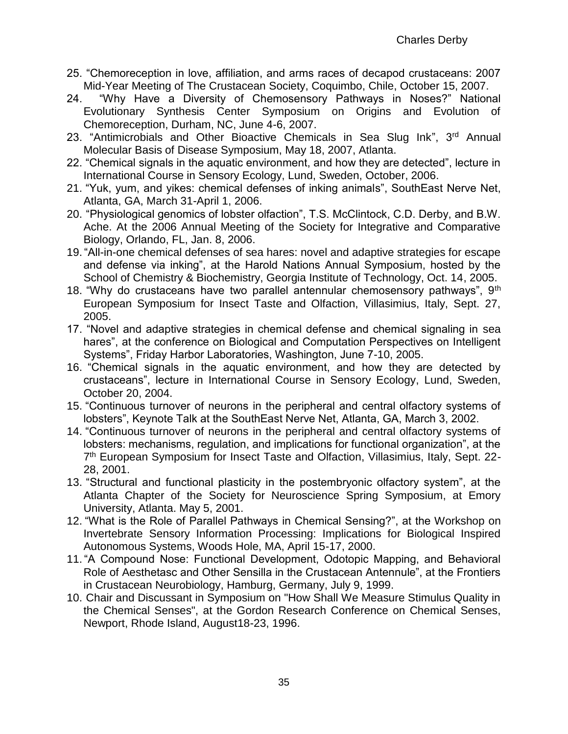- 25. "Chemoreception in love, affiliation, and arms races of decapod crustaceans: 2007 Mid-Year Meeting of The Crustacean Society, Coquimbo, Chile, October 15, 2007.
- 24. "Why Have a Diversity of Chemosensory Pathways in Noses?" National Evolutionary Synthesis Center Symposium on Origins and Evolution of Chemoreception, Durham, NC, June 4-6, 2007.
- 23. "Antimicrobials and Other Bioactive Chemicals in Sea Slug Ink", 3<sup>rd</sup> Annual Molecular Basis of Disease Symposium, May 18, 2007, Atlanta.
- 22. "Chemical signals in the aquatic environment, and how they are detected", lecture in International Course in Sensory Ecology, Lund, Sweden, October, 2006.
- 21. "Yuk, yum, and yikes: chemical defenses of inking animals", SouthEast Nerve Net, Atlanta, GA, March 31-April 1, 2006.
- 20. "Physiological genomics of lobster olfaction", T.S. McClintock, C.D. Derby, and B.W. Ache. At the 2006 Annual Meeting of the Society for Integrative and Comparative Biology, Orlando, FL, Jan. 8, 2006.
- 19."All-in-one chemical defenses of sea hares: novel and adaptive strategies for escape and defense via inking", at the Harold Nations Annual Symposium, hosted by the School of Chemistry & Biochemistry, Georgia Institute of Technology, Oct. 14, 2005.
- 18. "Why do crustaceans have two parallel antennular chemosensory pathways", 9<sup>th</sup> European Symposium for Insect Taste and Olfaction, Villasimius, Italy, Sept. 27, 2005.
- 17. "Novel and adaptive strategies in chemical defense and chemical signaling in sea hares", at the conference on Biological and Computation Perspectives on Intelligent Systems", Friday Harbor Laboratories, Washington, June 7-10, 2005.
- 16. "Chemical signals in the aquatic environment, and how they are detected by crustaceans", lecture in International Course in Sensory Ecology, Lund, Sweden, October 20, 2004.
- 15. "Continuous turnover of neurons in the peripheral and central olfactory systems of lobsters", Keynote Talk at the SouthEast Nerve Net, Atlanta, GA, March 3, 2002.
- 14. "Continuous turnover of neurons in the peripheral and central olfactory systems of lobsters: mechanisms, regulation, and implications for functional organization", at the 7<sup>th</sup> European Symposium for Insect Taste and Olfaction, Villasimius, Italy, Sept. 22-28, 2001.
- 13. "Structural and functional plasticity in the postembryonic olfactory system", at the Atlanta Chapter of the Society for Neuroscience Spring Symposium, at Emory University, Atlanta. May 5, 2001.
- 12. "What is the Role of Parallel Pathways in Chemical Sensing?", at the Workshop on Invertebrate Sensory Information Processing: Implications for Biological Inspired Autonomous Systems, Woods Hole, MA, April 15-17, 2000.
- 11."A Compound Nose: Functional Development, Odotopic Mapping, and Behavioral Role of Aesthetasc and Other Sensilla in the Crustacean Antennule", at the Frontiers in Crustacean Neurobiology, Hamburg, Germany, July 9, 1999.
- 10. Chair and Discussant in Symposium on "How Shall We Measure Stimulus Quality in the Chemical Senses", at the Gordon Research Conference on Chemical Senses, Newport, Rhode Island, August18-23, 1996.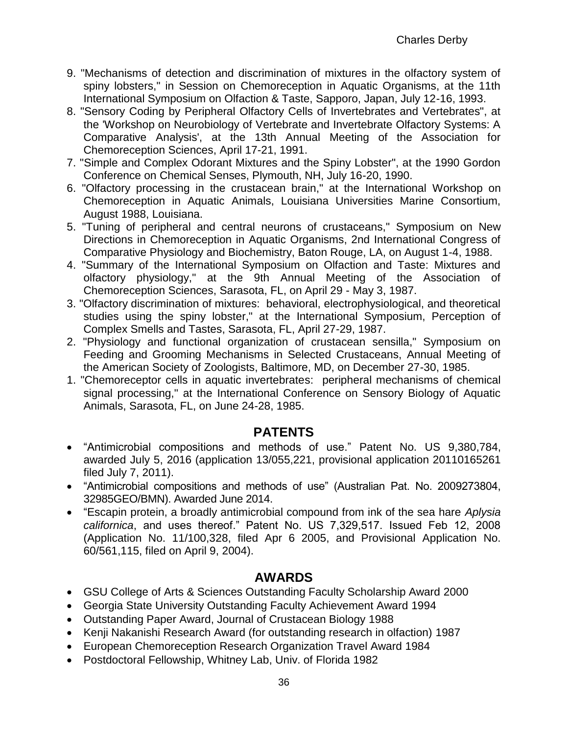- 9. "Mechanisms of detection and discrimination of mixtures in the olfactory system of spiny lobsters," in Session on Chemoreception in Aquatic Organisms, at the 11th International Symposium on Olfaction & Taste, Sapporo, Japan, July 12-16, 1993.
- 8. "Sensory Coding by Peripheral Olfactory Cells of Invertebrates and Vertebrates", at the 'Workshop on Neurobiology of Vertebrate and Invertebrate Olfactory Systems: A Comparative Analysis', at the 13th Annual Meeting of the Association for Chemoreception Sciences, April 17-21, 1991.
- 7. "Simple and Complex Odorant Mixtures and the Spiny Lobster", at the 1990 Gordon Conference on Chemical Senses, Plymouth, NH, July 16-20, 1990.
- 6. "Olfactory processing in the crustacean brain," at the International Workshop on Chemoreception in Aquatic Animals, Louisiana Universities Marine Consortium, August 1988, Louisiana.
- 5. "Tuning of peripheral and central neurons of crustaceans," Symposium on New Directions in Chemoreception in Aquatic Organisms, 2nd International Congress of Comparative Physiology and Biochemistry, Baton Rouge, LA, on August 1-4, 1988.
- 4. "Summary of the International Symposium on Olfaction and Taste: Mixtures and olfactory physiology," at the 9th Annual Meeting of the Association of Chemoreception Sciences, Sarasota, FL, on April 29 - May 3, 1987.
- 3. "Olfactory discrimination of mixtures: behavioral, electrophysiological, and theoretical studies using the spiny lobster," at the International Symposium, Perception of Complex Smells and Tastes, Sarasota, FL, April 27-29, 1987.
- 2. "Physiology and functional organization of crustacean sensilla," Symposium on Feeding and Grooming Mechanisms in Selected Crustaceans, Annual Meeting of the American Society of Zoologists, Baltimore, MD, on December 27-30, 1985.
- 1. "Chemoreceptor cells in aquatic invertebrates: peripheral mechanisms of chemical signal processing," at the International Conference on Sensory Biology of Aquatic Animals, Sarasota, FL, on June 24-28, 1985.

# **PATENTS**

- "Antimicrobial compositions and methods of use." Patent No. US 9,380,784, awarded July 5, 2016 (application 13/055,221, provisional application 20110165261 filed July 7, 2011).
- "Antimicrobial compositions and methods of use" (Australian Pat. No. 2009273804, 32985GEO/BMN). Awarded June 2014.
- "Escapin protein, a broadly antimicrobial compound from ink of the sea hare *Aplysia californica*, and uses thereof." Patent No. US 7,329,517. Issued Feb 12, 2008 (Application No. 11/100,328, filed Apr 6 2005, and Provisional Application No. 60/561,115, filed on April 9, 2004).

# **AWARDS**

- GSU College of Arts & Sciences Outstanding Faculty Scholarship Award 2000
- Georgia State University Outstanding Faculty Achievement Award 1994
- Outstanding Paper Award, Journal of Crustacean Biology 1988
- Kenii Nakanishi Research Award (for outstanding research in olfaction) 1987
- European Chemoreception Research Organization Travel Award 1984
- Postdoctoral Fellowship, Whitney Lab, Univ. of Florida 1982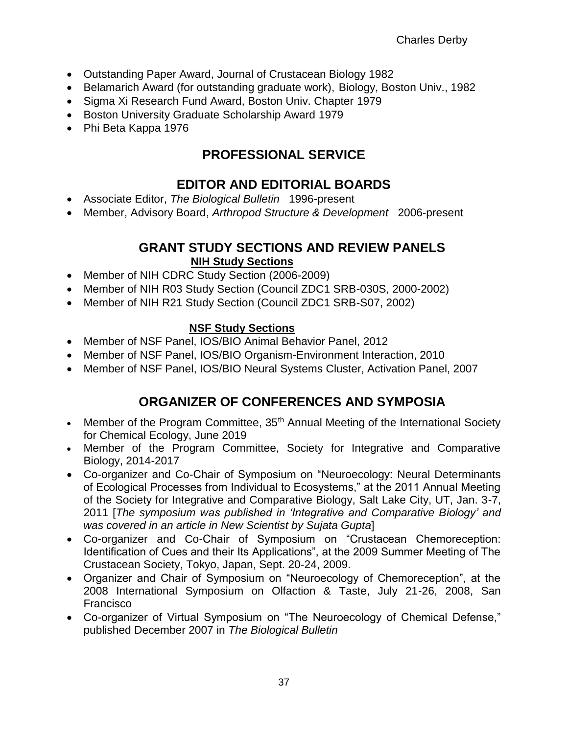- Outstanding Paper Award, Journal of Crustacean Biology 1982
- Belamarich Award (for outstanding graduate work), Biology, Boston Univ., 1982
- Sigma Xi Research Fund Award, Boston Univ. Chapter 1979
- **Boston University Graduate Scholarship Award 1979**
- Phi Beta Kappa 1976

# **PROFESSIONAL SERVICE**

# **EDITOR AND EDITORIAL BOARDS**

- Associate Editor, *The Biological Bulletin* 1996-present
- Member, Advisory Board, *Arthropod Structure & Development* 2006-present

# **GRANT STUDY SECTIONS AND REVIEW PANELS NIH Study Sections**

- Member of NIH CDRC Study Section (2006-2009)
- Member of NIH R03 Study Section (Council ZDC1 SRB-030S, 2000-2002)
- Member of NIH R21 Study Section (Council ZDC1 SRB-S07, 2002)

#### **NSF Study Sections**

- Member of NSF Panel, IOS/BIO Animal Behavior Panel, 2012
- Member of NSF Panel, IOS/BIO Organism-Environment Interaction, 2010
- Member of NSF Panel, IOS/BIO Neural Systems Cluster, Activation Panel, 2007

# **ORGANIZER OF CONFERENCES AND SYMPOSIA**

- Member of the Program Committee, 35<sup>th</sup> Annual Meeting of the International Society for Chemical Ecology, June 2019
- Member of the Program Committee, Society for Integrative and Comparative Biology, 2014-2017
- Co-organizer and Co-Chair of Symposium on "Neuroecology: Neural Determinants of Ecological Processes from Individual to Ecosystems," at the 2011 Annual Meeting of the Society for Integrative and Comparative Biology, Salt Lake City, UT, Jan. 3-7, 2011 [*The symposium was published in 'Integrative and Comparative Biology' and was covered in an article in New Scientist by Sujata Gupta*]
- Co-organizer and Co-Chair of Symposium on "Crustacean Chemoreception: Identification of Cues and their Its Applications", at the 2009 Summer Meeting of The Crustacean Society, Tokyo, Japan, Sept. 20-24, 2009.
- Organizer and Chair of Symposium on "Neuroecology of Chemoreception", at the 2008 International Symposium on Olfaction & Taste, July 21-26, 2008, San Francisco
- Co-organizer of Virtual Symposium on "The Neuroecology of Chemical Defense," published December 2007 in *The Biological Bulletin*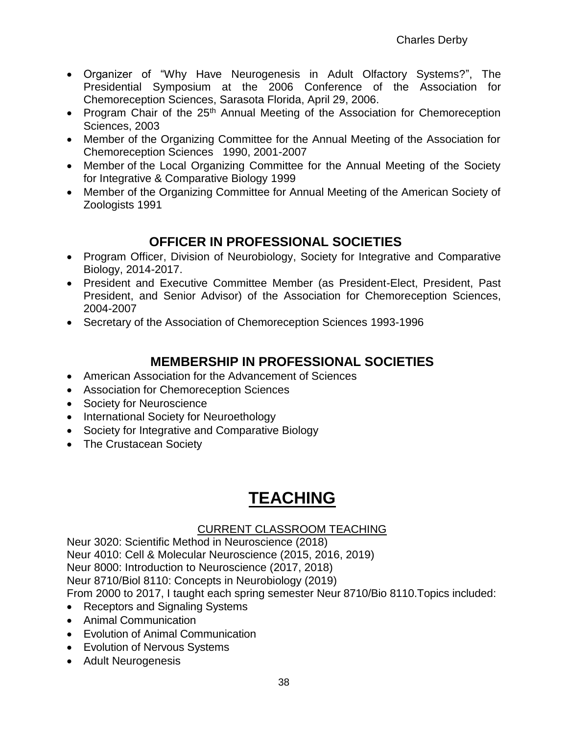- Organizer of "Why Have Neurogenesis in Adult Olfactory Systems?", The Presidential Symposium at the 2006 Conference of the Association for Chemoreception Sciences, Sarasota Florida, April 29, 2006.
- Program Chair of the 25<sup>th</sup> Annual Meeting of the Association for Chemoreception Sciences, 2003
- Member of the Organizing Committee for the Annual Meeting of the Association for Chemoreception Sciences 1990, 2001-2007
- Member of the Local Organizing Committee for the Annual Meeting of the Society for Integrative & Comparative Biology 1999
- Member of the Organizing Committee for Annual Meeting of the American Society of Zoologists 1991

# **OFFICER IN PROFESSIONAL SOCIETIES**

- Program Officer, Division of Neurobiology, Society for Integrative and Comparative Biology, 2014-2017.
- President and Executive Committee Member (as President-Elect, President, Past President, and Senior Advisor) of the Association for Chemoreception Sciences, 2004-2007
- Secretary of the Association of Chemoreception Sciences 1993-1996

# **MEMBERSHIP IN PROFESSIONAL SOCIETIES**

- American Association for the Advancement of Sciences
- Association for Chemoreception Sciences
- Society for Neuroscience
- International Society for Neuroethology
- Society for Integrative and Comparative Biology
- The Crustacean Society

# **TEACHING**

#### CURRENT CLASSROOM TEACHING

Neur 3020: Scientific Method in Neuroscience (2018) Neur 4010: Cell & Molecular Neuroscience (2015, 2016, 2019) Neur 8000: Introduction to Neuroscience (2017, 2018) Neur 8710/Biol 8110: Concepts in Neurobiology (2019) From 2000 to 2017, I taught each spring semester Neur 8710/Bio 8110.Topics included:

- Receptors and Signaling Systems
- Animal Communication
- Evolution of Animal Communication
- Evolution of Nervous Systems
- Adult Neurogenesis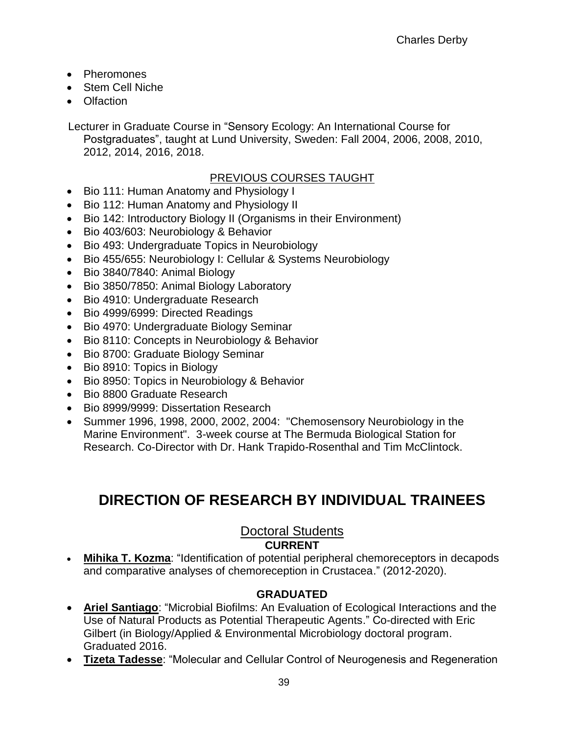- Pheromones
- Stem Cell Niche
- Olfaction

Lecturer in Graduate Course in "Sensory Ecology: An International Course for Postgraduates", taught at Lund University, Sweden: Fall 2004, 2006, 2008, 2010, 2012, 2014, 2016, 2018.

#### PREVIOUS COURSES TAUGHT

- Bio 111: Human Anatomy and Physiology I
- Bio 112: Human Anatomy and Physiology II
- Bio 142: Introductory Biology II (Organisms in their Environment)
- Bio 403/603: Neurobiology & Behavior
- Bio 493: Undergraduate Topics in Neurobiology
- Bio 455/655: Neurobiology I: Cellular & Systems Neurobiology
- Bio 3840/7840: Animal Biology
- Bio 3850/7850: Animal Biology Laboratory
- Bio 4910: Undergraduate Research
- Bio 4999/6999: Directed Readings
- Bio 4970: Undergraduate Biology Seminar
- Bio 8110: Concepts in Neurobiology & Behavior
- Bio 8700: Graduate Biology Seminar
- Bio 8910: Topics in Biology
- Bio 8950: Topics in Neurobiology & Behavior
- Bio 8800 Graduate Research
- Bio 8999/9999: Dissertation Research
- Summer 1996, 1998, 2000, 2002, 2004: "Chemosensory Neurobiology in the Marine Environment". 3-week course at The Bermuda Biological Station for Research. Co-Director with Dr. Hank Trapido-Rosenthal and Tim McClintock.

# **DIRECTION OF RESEARCH BY INDIVIDUAL TRAINEES**

# Doctoral Students

### **CURRENT**

 **Mihika T. Kozma**: "Identification of potential peripheral chemoreceptors in decapods and comparative analyses of chemoreception in Crustacea." (2012-2020).

#### **GRADUATED**

- **Ariel Santiago**: "Microbial Biofilms: An Evaluation of Ecological Interactions and the Use of Natural Products as Potential Therapeutic Agents." Co-directed with Eric Gilbert (in Biology/Applied & Environmental Microbiology doctoral program. Graduated 2016.
- **Tizeta Tadesse**: "Molecular and Cellular Control of Neurogenesis and Regeneration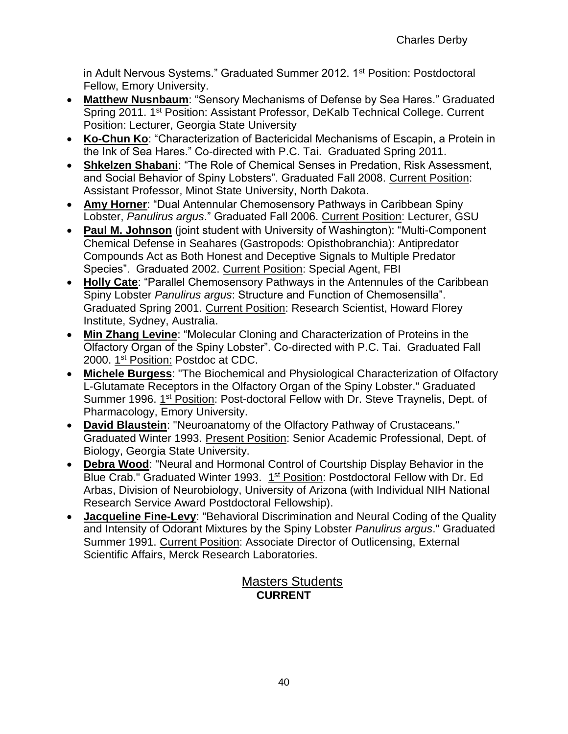in Adult Nervous Systems." Graduated Summer 2012. 1<sup>st</sup> Position: Postdoctoral Fellow, Emory University.

- **Matthew Nusnbaum**: "Sensory Mechanisms of Defense by Sea Hares." Graduated Spring 2011. 1st Position: Assistant Professor, DeKalb Technical College. Current Position: Lecturer, Georgia State University
- **Ko-Chun Ko**: "Characterization of Bactericidal Mechanisms of Escapin, a Protein in the Ink of Sea Hares." Co-directed with P.C. Tai. Graduated Spring 2011.
- **Shkelzen Shabani**: "The Role of Chemical Senses in Predation, Risk Assessment, and Social Behavior of Spiny Lobsters". Graduated Fall 2008. Current Position: Assistant Professor, Minot State University, North Dakota.
- **Amy Horner**: "Dual Antennular Chemosensory Pathways in Caribbean Spiny Lobster, *Panulirus argus*." Graduated Fall 2006. Current Position: Lecturer, GSU
- **Paul M. Johnson** (joint student with University of Washington): "Multi-Component Chemical Defense in Seahares (Gastropods: Opisthobranchia): Antipredator Compounds Act as Both Honest and Deceptive Signals to Multiple Predator Species". Graduated 2002. Current Position: Special Agent, FBI
- **Holly Cate**: "Parallel Chemosensory Pathways in the Antennules of the Caribbean Spiny Lobster *Panulirus argus*: Structure and Function of Chemosensilla". Graduated Spring 2001. Current Position: Research Scientist, Howard Florey Institute, Sydney, Australia.
- **Min Zhang Levine**: "Molecular Cloning and Characterization of Proteins in the Olfactory Organ of the Spiny Lobster". Co-directed with P.C. Tai. Graduated Fall 2000. 1<sup>st</sup> Position: Postdoc at CDC.
- **Michele Burgess**: "The Biochemical and Physiological Characterization of Olfactory L-Glutamate Receptors in the Olfactory Organ of the Spiny Lobster." Graduated Summer 1996. 1<sup>st</sup> Position: Post-doctoral Fellow with Dr. Steve Traynelis, Dept. of Pharmacology, Emory University.
- **David Blaustein**: "Neuroanatomy of the Olfactory Pathway of Crustaceans." Graduated Winter 1993. Present Position: Senior Academic Professional, Dept. of Biology, Georgia State University.
- **Debra Wood**: "Neural and Hormonal Control of Courtship Display Behavior in the Blue Crab." Graduated Winter 1993. 1<sup>st</sup> Position: Postdoctoral Fellow with Dr. Ed Arbas, Division of Neurobiology, University of Arizona (with Individual NIH National Research Service Award Postdoctoral Fellowship).
- **Jacqueline Fine-Levy**: "Behavioral Discrimination and Neural Coding of the Quality and Intensity of Odorant Mixtures by the Spiny Lobster *Panulirus argus*." Graduated Summer 1991. Current Position: Associate Director of Outlicensing, External Scientific Affairs, Merck Research Laboratories.

### **Masters Students CURRENT**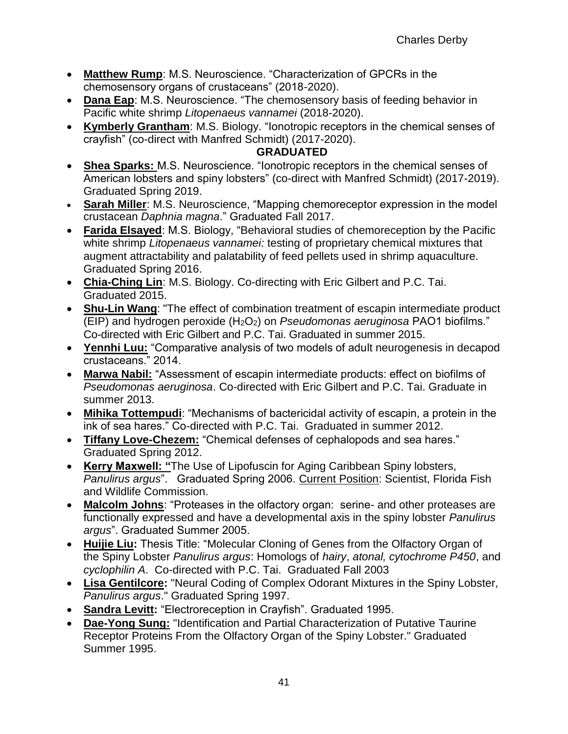- **Matthew Rump**: M.S. Neuroscience. "Characterization of GPCRs in the chemosensory organs of crustaceans" (2018-2020).
- **Dana Eap**: M.S. Neuroscience. "The chemosensory basis of feeding behavior in Pacific white shrimp *Litopenaeus vannamei* (2018-2020).
- **Kymberly Grantham**: M.S. Biology. "Ionotropic receptors in the chemical senses of crayfish" (co-direct with Manfred Schmidt) (2017-2020).

#### **GRADUATED**

- **Shea Sparks:** M.S. Neuroscience. "Ionotropic receptors in the chemical senses of American lobsters and spiny lobsters" (co-direct with Manfred Schmidt) (2017-2019). Graduated Spring 2019.
- **Sarah Miller**: M.S. Neuroscience, "Mapping chemoreceptor expression in the model crustacean *Daphnia magna*." Graduated Fall 2017.
- **Farida Elsayed**: M.S. Biology, "Behavioral studies of chemoreception by the Pacific white shrimp *Litopenaeus vannamei:* testing of proprietary chemical mixtures that augment attractability and palatability of feed pellets used in shrimp aquaculture. Graduated Spring 2016.
- **Chia-Ching Lin**: M.S. Biology. Co-directing with Eric Gilbert and P.C. Tai. Graduated 2015.
- **Shu-Lin Wang**: "The effect of combination treatment of escapin intermediate product (EIP) and hydrogen peroxide (H2O2) on *Pseudomonas aeruginosa* PAO1 biofilms." Co-directed with Eric Gilbert and P.C. Tai. Graduated in summer 2015.
- **Yennhi Luu:** "Comparative analysis of two models of adult neurogenesis in decapod crustaceans." 2014.
- **Marwa Nabil:** "Assessment of escapin intermediate products: effect on biofilms of *Pseudomonas aeruginosa*. Co-directed with Eric Gilbert and P.C. Tai. Graduate in summer 2013.
- **Mihika Tottempudi**: "Mechanisms of bactericidal activity of escapin, a protein in the ink of sea hares." Co-directed with P.C. Tai. Graduated in summer 2012.
- **Tiffany Love-Chezem:** "Chemical defenses of cephalopods and sea hares." Graduated Spring 2012.
- **Kerry Maxwell: "**The Use of Lipofuscin for Aging Caribbean Spiny lobsters, *Panulirus argus*". Graduated Spring 2006. Current Position: Scientist, Florida Fish and Wildlife Commission.
- **Malcolm Johns**: "Proteases in the olfactory organ: serine- and other proteases are functionally expressed and have a developmental axis in the spiny lobster *Panulirus argus*". Graduated Summer 2005.
- **Huijie Liu:** Thesis Title: "Molecular Cloning of Genes from the Olfactory Organ of the Spiny Lobster *Panulirus argus*: Homologs of *hairy*, *atonal, cytochrome P450*, and *cyclophilin A*. Co-directed with P.C. Tai. Graduated Fall 2003
- **Lisa Gentilcore:** "Neural Coding of Complex Odorant Mixtures in the Spiny Lobster, *Panulirus argus*." Graduated Spring 1997.
- **Sandra Levitt:** "Electroreception in Crayfish". Graduated 1995.
- **Dae-Yong Sung:** "Identification and Partial Characterization of Putative Taurine Receptor Proteins From the Olfactory Organ of the Spiny Lobster." Graduated Summer 1995.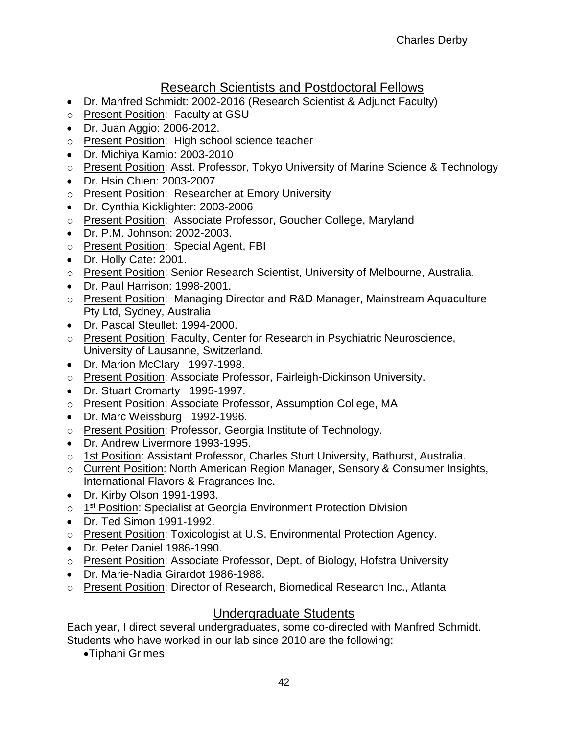# Research Scientists and Postdoctoral Fellows

- Dr. Manfred Schmidt: 2002-2016 (Research Scientist & Adjunct Faculty)
- o Present Position: Faculty at GSU
- Dr. Juan Aggio: 2006-2012.
- o Present Position: High school science teacher
- Dr. Michiya Kamio: 2003-2010
- o Present Position: Asst. Professor, Tokyo University of Marine Science & Technology
- Dr. Hsin Chien: 2003-2007
- o Present Position: Researcher at Emory University
- Dr. Cynthia Kicklighter: 2003-2006
- o Present Position: Associate Professor, Goucher College, Maryland
- Dr. P.M. Johnson: 2002-2003.
- o Present Position: Special Agent, FBI
- Dr. Holly Cate: 2001.
- o Present Position: Senior Research Scientist, University of Melbourne, Australia.
- Dr. Paul Harrison: 1998-2001.
- o Present Position: Managing Director and R&D Manager, Mainstream Aquaculture Pty Ltd, Sydney, Australia
- Dr. Pascal Steullet: 1994-2000.
- o Present Position: Faculty, Center for Research in Psychiatric Neuroscience, University of Lausanne, Switzerland.
- Dr. Marion McClary 1997-1998.
- o Present Position: Associate Professor, Fairleigh-Dickinson University.
- Dr. Stuart Cromarty 1995-1997.
- o Present Position: Associate Professor, Assumption College, MA
- Dr. Marc Weissburg 1992-1996.
- o Present Position: Professor, Georgia Institute of Technology.
- Dr. Andrew Livermore 1993-1995.
- o 1st Position: Assistant Professor, Charles Sturt University, Bathurst, Australia.
- o Current Position: North American Region Manager, Sensory & Consumer Insights, International Flavors & Fragrances Inc.
- Dr. Kirby Olson 1991-1993.
- o 1<sup>st</sup> Position: Specialist at Georgia Environment Protection Division
- Dr. Ted Simon 1991-1992.
- o Present Position: Toxicologist at U.S. Environmental Protection Agency.
- Dr. Peter Daniel 1986-1990.
- o Present Position: Associate Professor, Dept. of Biology, Hofstra University
- Dr. Marie-Nadia Girardot 1986-1988.
- o Present Position: Director of Research, Biomedical Research Inc., Atlanta

# Undergraduate Students

Each year, I direct several undergraduates, some co-directed with Manfred Schmidt. Students who have worked in our lab since 2010 are the following:

Tiphani Grimes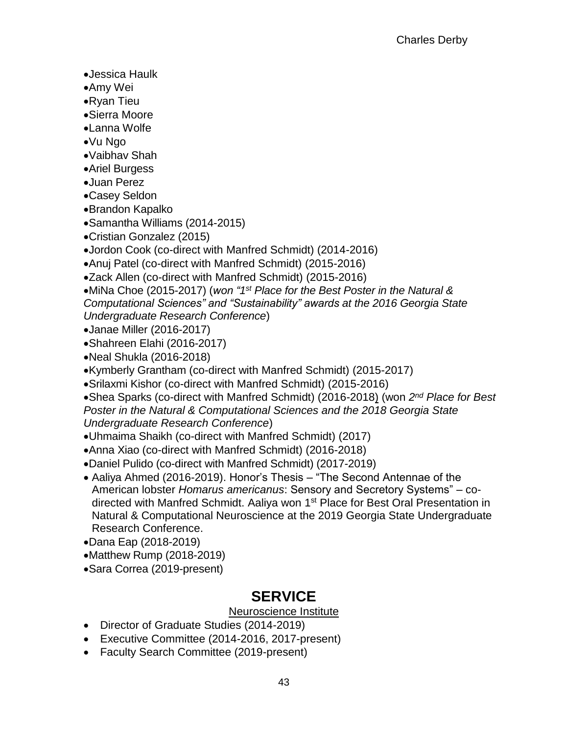- Jessica Haulk
- Amy Wei
- Ryan Tieu
- Sierra Moore
- Lanna Wolfe
- Vu Ngo
- Vaibhav Shah
- Ariel Burgess
- Juan Perez
- Casey Seldon
- Brandon Kapalko
- Samantha Williams (2014-2015)
- Cristian Gonzalez (2015)
- Jordon Cook (co-direct with Manfred Schmidt) (2014-2016)
- Anuj Patel (co-direct with Manfred Schmidt) (2015-2016)
- Zack Allen (co-direct with Manfred Schmidt) (2015-2016)
- •MiNa Choe (2015-2017) (won "1<sup>st</sup> Place for the Best Poster in the Natural & *Computational Sciences" and "Sustainability" awards at the 2016 Georgia State Undergraduate Research Conference*)
- Janae Miller (2016-2017)
- Shahreen Elahi (2016-2017)
- Neal Shukla (2016-2018)
- Kymberly Grantham (co-direct with Manfred Schmidt) (2015-2017)
- Srilaxmi Kishor (co-direct with Manfred Schmidt) (2015-2016)
- Shea Sparks (co-direct with Manfred Schmidt) (2016-2018) (won *2 nd Place for Best Poster in the Natural & Computational Sciences and the 2018 Georgia State Undergraduate Research Conference*)
- Uhmaima Shaikh (co-direct with Manfred Schmidt) (2017)
- Anna Xiao (co-direct with Manfred Schmidt) (2016-2018)
- Daniel Pulido (co-direct with Manfred Schmidt) (2017-2019)
- Aaliya Ahmed (2016-2019). Honor's Thesis "The Second Antennae of the American lobster *Homarus americanus*: Sensory and Secretory Systems" – codirected with Manfred Schmidt. Aaliya won 1<sup>st</sup> Place for Best Oral Presentation in Natural & Computational Neuroscience at the 2019 Georgia State Undergraduate Research Conference.
- Dana Eap (2018-2019)
- Matthew Rump (2018-2019)
- Sara Correa (2019-present)

# **SERVICE**

#### Neuroscience Institute

- Director of Graduate Studies (2014-2019)
- Executive Committee (2014-2016, 2017-present)
- Faculty Search Committee (2019-present)